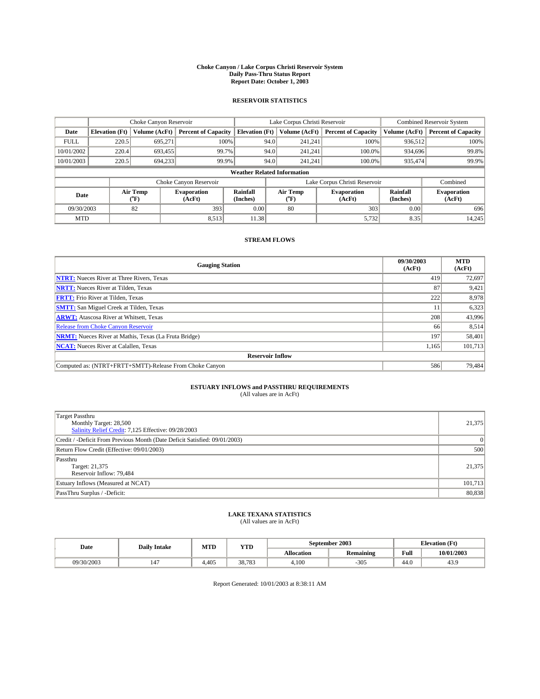#### **Choke Canyon / Lake Corpus Christi Reservoir System Daily Pass-Thru Status Report Report Date: October 1, 2003**

### **RESERVOIR STATISTICS**

|                                    | Choke Canyon Reservoir |                             |                              |                             | Lake Corpus Christi Reservoir |                  |                               |                      | <b>Combined Reservoir System</b> |  |  |
|------------------------------------|------------------------|-----------------------------|------------------------------|-----------------------------|-------------------------------|------------------|-------------------------------|----------------------|----------------------------------|--|--|
| Date                               | <b>Elevation</b> (Ft)  | Volume (AcFt)               | <b>Percent of Capacity</b>   | <b>Elevation</b> (Ft)       |                               | Volume (AcFt)    | <b>Percent of Capacity</b>    | Volume (AcFt)        | <b>Percent of Capacity</b>       |  |  |
| <b>FULL</b>                        | 220.5                  | 695,271                     |                              | 100%                        | 94.0                          | 241,241          | 100%                          | 936.512              | 100%                             |  |  |
| 10/01/2002                         | 220.4                  | 693,455                     |                              | 99.7%                       | 94.0                          | 241.241          | $100.0\%$                     | 934,696              | 99.8%                            |  |  |
| 10/01/2003                         | 220.5                  | 694,233                     |                              | 99.9%                       | 94.0                          | 241.241          | $100.0\%$                     | 935,474              | 99.9%                            |  |  |
| <b>Weather Related Information</b> |                        |                             |                              |                             |                               |                  |                               |                      |                                  |  |  |
|                                    |                        |                             | Choke Canyon Reservoir       |                             |                               |                  | Lake Corpus Christi Reservoir |                      | Combined                         |  |  |
| Date                               |                        | Air Temp<br>${}^{\circ}$ F) | <b>Evaporation</b><br>(AcFt) | <b>Rainfall</b><br>(Inches) |                               | Air Temp<br>("F) | <b>Evaporation</b><br>(AcFt)  | Rainfall<br>(Inches) | <b>Evaporation</b><br>(AcFt)     |  |  |
| 09/30/2003                         |                        | 82                          | 393                          | 0.00                        |                               | 80               | 303                           | 0.00                 | 696                              |  |  |
| <b>MTD</b>                         |                        |                             | 8,513                        | 11.38                       |                               |                  | 5,732                         | 8.35                 | 14,245                           |  |  |

### **STREAM FLOWS**

| <b>Gauging Station</b>                                       | 09/30/2003<br>(AcFt) | <b>MTD</b><br>(AcFt) |  |  |  |  |
|--------------------------------------------------------------|----------------------|----------------------|--|--|--|--|
| <b>NTRT:</b> Nueces River at Three Rivers, Texas             | 419                  | 72,697               |  |  |  |  |
| <b>NRTT:</b> Nueces River at Tilden, Texas                   | 87                   | 9,421                |  |  |  |  |
| <b>FRTT:</b> Frio River at Tilden, Texas                     | 222                  | 8,978                |  |  |  |  |
| <b>SMTT:</b> San Miguel Creek at Tilden, Texas               | 11                   | 6,323                |  |  |  |  |
| <b>ARWT:</b> Atascosa River at Whitsett, Texas               | 208                  | 43,996               |  |  |  |  |
| <b>Release from Choke Canyon Reservoir</b>                   | 66                   | 8,514                |  |  |  |  |
| <b>NRMT:</b> Nueces River at Mathis, Texas (La Fruta Bridge) | 197                  | 58,401               |  |  |  |  |
| <b>NCAT:</b> Nueces River at Calallen, Texas                 | 1,165                | 101,713              |  |  |  |  |
| <b>Reservoir Inflow</b>                                      |                      |                      |  |  |  |  |
| Computed as: (NTRT+FRTT+SMTT)-Release From Choke Canyon      | 586                  | 79,484               |  |  |  |  |

# **ESTUARY INFLOWS and PASSTHRU REQUIREMENTS**<br>(All values are in AcFt)

| <b>Target Passthru</b><br>Monthly Target: 28,500<br>Salinity Relief Credit: 7,125 Effective: 09/28/2003 | 21,375         |
|---------------------------------------------------------------------------------------------------------|----------------|
| Credit / -Deficit From Previous Month (Date Deficit Satisfied: 09/01/2003)                              | $\overline{0}$ |
| Return Flow Credit (Effective: 09/01/2003)                                                              | 500            |
| Passthru<br>Target: 21,375<br>Reservoir Inflow: 79,484                                                  | 21,375         |
| Estuary Inflows (Measured at NCAT)                                                                      | 101,713        |
| PassThru Surplus / -Deficit:                                                                            | 80,838         |

# **LAKE TEXANA STATISTICS** (All values are in AcFt)

| Date       | <b>Daily Intake</b> | MTD   | <b>YTD</b> | September 2003    |                  | <b>Elevation</b> (Ft)      |            |
|------------|---------------------|-------|------------|-------------------|------------------|----------------------------|------------|
|            |                     |       |            | <b>Allocation</b> | <b>Remaining</b> | Full                       | 10/01/2003 |
| 09/30/2003 | 147                 | 4.405 | 38,783     | 4.100             | $-305$           | $\sim$<br>44. <sub>V</sub> | 43.9       |

Report Generated: 10/01/2003 at 8:38:11 AM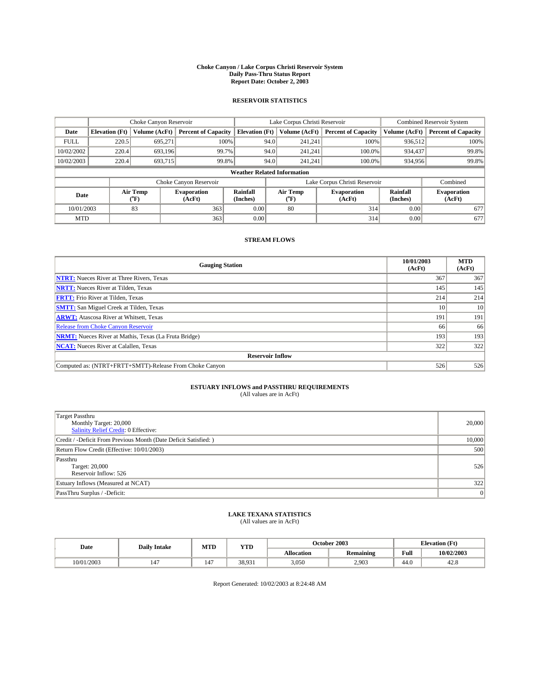#### **Choke Canyon / Lake Corpus Christi Reservoir System Daily Pass-Thru Status Report Report Date: October 2, 2003**

### **RESERVOIR STATISTICS**

|             | Choke Canyon Reservoir             |                             |                              |                             | Lake Corpus Christi Reservoir |                  |                               |                      | <b>Combined Reservoir System</b> |  |  |
|-------------|------------------------------------|-----------------------------|------------------------------|-----------------------------|-------------------------------|------------------|-------------------------------|----------------------|----------------------------------|--|--|
| Date        | <b>Elevation</b> (Ft)              | Volume (AcFt)               | <b>Percent of Capacity</b>   | <b>Elevation</b> (Ft)       |                               | Volume (AcFt)    | <b>Percent of Capacity</b>    | Volume (AcFt)        | <b>Percent of Capacity</b>       |  |  |
| <b>FULL</b> | 220.5                              | 695,271                     | 100%                         |                             | 94.0                          | 241,241          | 100%                          | 936.512              | 100%                             |  |  |
| 10/02/2002  | 220.4                              | 693.196                     | 99.7%                        |                             | 94.0                          | 241.241          | $100.0\%$                     | 934.437              | 99.8%                            |  |  |
| 10/02/2003  | 220.4                              | 693,715                     | 99.8%                        |                             | 94.0                          | 241.241          | $100.0\%$                     | 934,956              | 99.8%                            |  |  |
|             | <b>Weather Related Information</b> |                             |                              |                             |                               |                  |                               |                      |                                  |  |  |
|             |                                    |                             | Choke Canyon Reservoir       |                             |                               |                  | Lake Corpus Christi Reservoir |                      | Combined                         |  |  |
| Date        |                                    | Air Temp<br>${}^{\circ}$ F) | <b>Evaporation</b><br>(AcFt) | <b>Rainfall</b><br>(Inches) |                               | Air Temp<br>("F) | <b>Evaporation</b><br>(AcFt)  | Rainfall<br>(Inches) | <b>Evaporation</b><br>(AcFt)     |  |  |
| 10/01/2003  |                                    | 83                          | 363                          | 0.00                        |                               | 80               | 314                           | 0.00                 | 677                              |  |  |
| <b>MTD</b>  |                                    |                             | 363                          | 0.00                        |                               |                  | 314                           | 0.00                 | 677                              |  |  |

### **STREAM FLOWS**

| <b>Gauging Station</b>                                       | 10/01/2003<br>(AcFt) | <b>MTD</b><br>(AcFt) |
|--------------------------------------------------------------|----------------------|----------------------|
| <b>NTRT:</b> Nueces River at Three Rivers, Texas             | 367                  | 367                  |
| <b>NRTT:</b> Nueces River at Tilden, Texas                   | 145                  | 145                  |
| <b>FRTT:</b> Frio River at Tilden, Texas                     | 214                  | 214                  |
| <b>SMTT:</b> San Miguel Creek at Tilden, Texas               | 10                   | 10                   |
| <b>ARWT:</b> Atascosa River at Whitsett, Texas               | 191                  | 191                  |
| <b>Release from Choke Canyon Reservoir</b>                   | 66                   | 66                   |
| <b>NRMT:</b> Nueces River at Mathis, Texas (La Fruta Bridge) | 193                  | 193                  |
| <b>NCAT:</b> Nueces River at Calallen, Texas                 | 322                  | 322                  |
| <b>Reservoir Inflow</b>                                      |                      |                      |
| Computed as: (NTRT+FRTT+SMTT)-Release From Choke Canyon      | 526                  | 526                  |

# **ESTUARY INFLOWS and PASSTHRU REQUIREMENTS**<br>(All values are in AcFt)

| <b>Target Passthru</b><br>Monthly Target: 20,000<br>Salinity Relief Credit: 0 Effective: | 20,000 |
|------------------------------------------------------------------------------------------|--------|
| Credit / -Deficit From Previous Month (Date Deficit Satisfied: )                         | 10,000 |
| Return Flow Credit (Effective: 10/01/2003)                                               | 500    |
| Passthru<br>Target: 20,000<br>Reservoir Inflow: 526                                      | 526    |
| Estuary Inflows (Measured at NCAT)                                                       | 322    |
| PassThru Surplus / -Deficit:                                                             | 0      |

# **LAKE TEXANA STATISTICS** (All values are in AcFt)

| Date       | <b>Daily Intake</b> | MTD                      | <b>YTD</b> |                   | October 2003     | <b>Elevation</b> (Ft) |            |
|------------|---------------------|--------------------------|------------|-------------------|------------------|-----------------------|------------|
|            |                     |                          |            | <b>Allocation</b> | <b>Remaining</b> | Full                  | 10/02/2003 |
| 10/01/2003 | 147                 | $\overline{\phantom{a}}$ | 38,931     | 3,050             | 2,903            | 44.v                  | 42.8       |

Report Generated: 10/02/2003 at 8:24:48 AM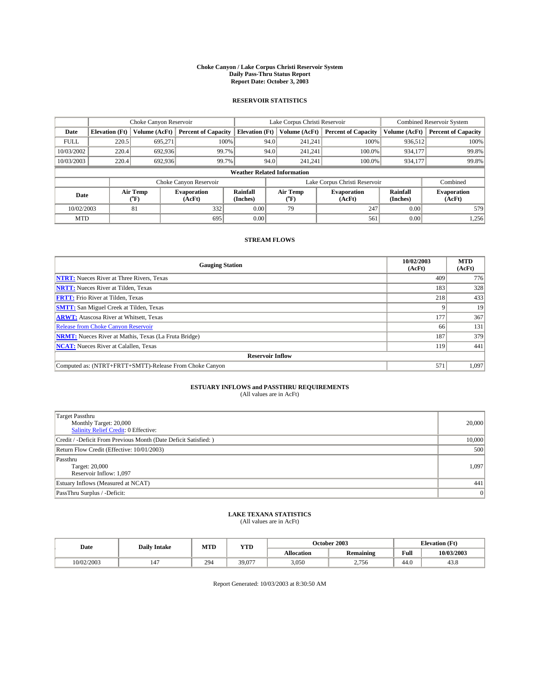#### **Choke Canyon / Lake Corpus Christi Reservoir System Daily Pass-Thru Status Report Report Date: October 3, 2003**

### **RESERVOIR STATISTICS**

|                                    | Choke Canyon Reservoir                                              |                          |                              |                       | Lake Corpus Christi Reservoir |                  |                              |                      | <b>Combined Reservoir System</b> |  |  |
|------------------------------------|---------------------------------------------------------------------|--------------------------|------------------------------|-----------------------|-------------------------------|------------------|------------------------------|----------------------|----------------------------------|--|--|
| Date                               | <b>Elevation</b> (Ft)                                               | Volume (AcFt)            | <b>Percent of Capacity</b>   | <b>Elevation (Ft)</b> |                               | Volume (AcFt)    | <b>Percent of Capacity</b>   | Volume (AcFt)        | <b>Percent of Capacity</b>       |  |  |
| <b>FULL</b>                        | 220.5                                                               | 695,271                  | 100%                         |                       | 94.0                          | 241,241          | 100%                         | 936.512              | 100%                             |  |  |
| 10/03/2002                         | 220.4                                                               | 692.936                  | 99.7%                        |                       | 94.0                          | 241.241          | $100.0\%$                    | 934.177              | 99.8%                            |  |  |
| 10/03/2003                         | 220.4                                                               | 692,936                  | 99.7%                        |                       | 94.0                          | 241.241          | $100.0\%$                    | 934,177              | 99.8%                            |  |  |
| <b>Weather Related Information</b> |                                                                     |                          |                              |                       |                               |                  |                              |                      |                                  |  |  |
|                                    | Lake Corpus Christi Reservoir<br>Choke Canyon Reservoir<br>Combined |                          |                              |                       |                               |                  |                              |                      |                                  |  |  |
| Date                               |                                                                     | Air Temp<br>$\rm ^{6}F)$ | <b>Evaporation</b><br>(AcFt) | Rainfall<br>(Inches)  |                               | Air Temp<br>("F) | <b>Evaporation</b><br>(AcFt) | Rainfall<br>(Inches) | <b>Evaporation</b><br>(AcFt)     |  |  |
| 10/02/2003                         |                                                                     | 81                       | 332                          | 0.00                  |                               | 79               | 247                          | 0.00                 | 579                              |  |  |
| <b>MTD</b>                         |                                                                     |                          | 695                          | 0.00                  |                               |                  | 561                          | 0.00                 | 1,256                            |  |  |

### **STREAM FLOWS**

| <b>Gauging Station</b>                                       | 10/02/2003<br>(AcFt) | <b>MTD</b><br>(AcFt) |
|--------------------------------------------------------------|----------------------|----------------------|
| <b>NTRT:</b> Nueces River at Three Rivers, Texas             | 409                  | 776                  |
| <b>NRTT:</b> Nueces River at Tilden, Texas                   | 183                  | 328                  |
| <b>FRTT:</b> Frio River at Tilden, Texas                     | 218                  | 433                  |
| <b>SMTT:</b> San Miguel Creek at Tilden, Texas               |                      | 19                   |
| <b>ARWT:</b> Atascosa River at Whitsett, Texas               | 177                  | 367                  |
| <b>Release from Choke Canyon Reservoir</b>                   | 66                   | 131                  |
| <b>NRMT:</b> Nueces River at Mathis, Texas (La Fruta Bridge) | 187                  | 379                  |
| <b>NCAT:</b> Nueces River at Calallen, Texas                 | 119                  | 441                  |
| <b>Reservoir Inflow</b>                                      |                      |                      |
| Computed as: (NTRT+FRTT+SMTT)-Release From Choke Canyon      | 571                  | 1,097                |

# **ESTUARY INFLOWS and PASSTHRU REQUIREMENTS**<br>(All values are in AcFt)

| <b>Target Passthru</b><br>Monthly Target: 20,000<br>Salinity Relief Credit: 0 Effective: | 20,000 |
|------------------------------------------------------------------------------------------|--------|
| Credit / -Deficit From Previous Month (Date Deficit Satisfied: )                         | 10,000 |
| Return Flow Credit (Effective: 10/01/2003)                                               | 500    |
| Passthru<br>Target: 20,000<br>Reservoir Inflow: 1,097                                    | 1,097  |
| Estuary Inflows (Measured at NCAT)                                                       | 441    |
| PassThru Surplus / -Deficit:                                                             | 0      |

# **LAKE TEXANA STATISTICS** (All values are in AcFt)

| Date       | <b>Daily Intake</b>            | MTD | YTD    |                   | October 2003     | <b>Elevation</b> (Ft) |                |
|------------|--------------------------------|-----|--------|-------------------|------------------|-----------------------|----------------|
|            |                                |     |        | <b>Allocation</b> | <b>Remaining</b> | Full                  | 10/03/2003     |
| 10/02/2003 | $\overline{\phantom{a}}$<br>14 | 294 | 39,077 | 3,050             | 2,756            | $\sim$<br>44.V        | $\sim$<br>45.8 |

Report Generated: 10/03/2003 at 8:30:50 AM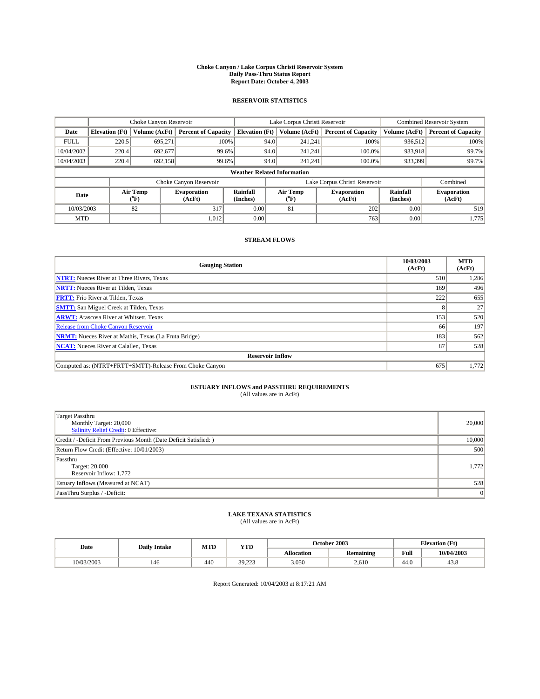#### **Choke Canyon / Lake Corpus Christi Reservoir System Daily Pass-Thru Status Report Report Date: October 4, 2003**

### **RESERVOIR STATISTICS**

|             | Choke Canyon Reservoir             |                             |                              |                             | Lake Corpus Christi Reservoir |                  |                               |                      | <b>Combined Reservoir System</b> |  |  |
|-------------|------------------------------------|-----------------------------|------------------------------|-----------------------------|-------------------------------|------------------|-------------------------------|----------------------|----------------------------------|--|--|
| Date        | <b>Elevation</b> (Ft)              | Volume (AcFt)               | <b>Percent of Capacity</b>   | <b>Elevation</b> (Ft)       |                               | Volume (AcFt)    | <b>Percent of Capacity</b>    | Volume (AcFt)        | <b>Percent of Capacity</b>       |  |  |
| <b>FULL</b> | 220.5                              | 695,271                     | 100%                         |                             | 94.0                          | 241,241          | 100%                          | 936.512              | 100%                             |  |  |
| 10/04/2002  | 220.4                              | 692,677                     | 99.6%                        |                             | 94.0                          | 241.241          | $100.0\%$                     | 933,918              | 99.7%                            |  |  |
| 10/04/2003  | 220.4                              | 692,158                     | 99.6%                        |                             | 94.0                          | 241.241          | $100.0\%$                     | 933,399              | 99.7%                            |  |  |
|             | <b>Weather Related Information</b> |                             |                              |                             |                               |                  |                               |                      |                                  |  |  |
|             |                                    |                             | Choke Canyon Reservoir       |                             |                               |                  | Lake Corpus Christi Reservoir |                      | Combined                         |  |  |
| Date        |                                    | Air Temp<br>${}^{\circ}$ F) | <b>Evaporation</b><br>(AcFt) | <b>Rainfall</b><br>(Inches) |                               | Air Temp<br>("F) | <b>Evaporation</b><br>(AcFt)  | Rainfall<br>(Inches) | <b>Evaporation</b><br>(AcFt)     |  |  |
| 10/03/2003  |                                    | 82                          | 317                          | 0.00                        |                               | 81               | 202                           | 0.00                 | 519                              |  |  |
| <b>MTD</b>  |                                    |                             | 1,012                        | 0.00                        |                               |                  | 763                           | 0.00                 | 1,775                            |  |  |

### **STREAM FLOWS**

| <b>Gauging Station</b>                                       | 10/03/2003<br>(AcFt) | <b>MTD</b><br>(AcFt) |
|--------------------------------------------------------------|----------------------|----------------------|
| <b>NTRT:</b> Nueces River at Three Rivers, Texas             | 510                  | 1,286                |
| <b>NRTT:</b> Nueces River at Tilden, Texas                   | 169                  | 496                  |
| <b>FRTT:</b> Frio River at Tilden, Texas                     | 222                  | 655                  |
| <b>SMTT:</b> San Miguel Creek at Tilden, Texas               |                      | 27                   |
| <b>ARWT:</b> Atascosa River at Whitsett, Texas               | 153                  | 520                  |
| <b>Release from Choke Canyon Reservoir</b>                   | 66                   | 197                  |
| <b>NRMT:</b> Nueces River at Mathis, Texas (La Fruta Bridge) | 183                  | 562                  |
| <b>NCAT:</b> Nueces River at Calallen, Texas                 | 87                   | 528                  |
| <b>Reservoir Inflow</b>                                      |                      |                      |
| Computed as: (NTRT+FRTT+SMTT)-Release From Choke Canyon      | 675                  | 1,772                |

# **ESTUARY INFLOWS and PASSTHRU REQUIREMENTS**<br>(All values are in AcFt)

| <b>Target Passthru</b><br>Monthly Target: 20,000<br>Salinity Relief Credit: 0 Effective: | 20,000 |
|------------------------------------------------------------------------------------------|--------|
| Credit / -Deficit From Previous Month (Date Deficit Satisfied: )                         | 10,000 |
| Return Flow Credit (Effective: 10/01/2003)                                               | 500    |
| Passthru<br>Target: 20,000<br>Reservoir Inflow: 1,772                                    | 1,772  |
| Estuary Inflows (Measured at NCAT)                                                       | 528    |
| PassThru Surplus / -Deficit:                                                             | 0      |

# **LAKE TEXANA STATISTICS** (All values are in AcFt)

| Date       | <b>Daily Intake</b> | MTD | <b>VTT</b><br>1 I D |                   | October 2003     | <b>Elevation</b> (Ft) |            |
|------------|---------------------|-----|---------------------|-------------------|------------------|-----------------------|------------|
|            |                     |     |                     | <b>Allocation</b> | <b>Remaining</b> | Full                  | 10/04/2003 |
| 10/03/2003 | 146                 | 440 | 30223               | 3,050             | 2.610            | 44. <sub>V</sub>      | 45.8       |

Report Generated: 10/04/2003 at 8:17:21 AM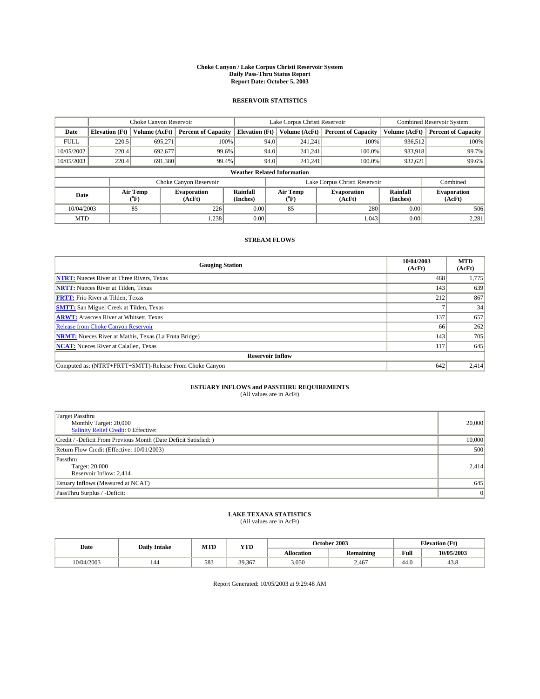#### **Choke Canyon / Lake Corpus Christi Reservoir System Daily Pass-Thru Status Report Report Date: October 5, 2003**

### **RESERVOIR STATISTICS**

|             | Choke Canyon Reservoir                                              |                  |                              |                       | Lake Corpus Christi Reservoir |                  |                              |                      | <b>Combined Reservoir System</b> |  |  |
|-------------|---------------------------------------------------------------------|------------------|------------------------------|-----------------------|-------------------------------|------------------|------------------------------|----------------------|----------------------------------|--|--|
| Date        | <b>Elevation</b> (Ft)                                               | Volume (AcFt)    | <b>Percent of Capacity</b>   | <b>Elevation (Ft)</b> |                               | Volume (AcFt)    | <b>Percent of Capacity</b>   | Volume (AcFt)        | <b>Percent of Capacity</b>       |  |  |
| <b>FULL</b> | 220.5                                                               | 695,271          | 100%                         |                       | 94.0                          | 241,241          | 100%                         | 936.512              | 100%                             |  |  |
| 10/05/2002  | 220.4                                                               | 692,677          | 99.6%                        |                       | 94.0                          | 241.241          | $100.0\%$                    | 933,918              | 99.7%                            |  |  |
| 10/05/2003  | 220.4                                                               | 691,380          | 99.4%                        |                       | 94.0                          | 241.241          | $100.0\%$                    | 932,621              | 99.6%                            |  |  |
|             | <b>Weather Related Information</b>                                  |                  |                              |                       |                               |                  |                              |                      |                                  |  |  |
|             | Lake Corpus Christi Reservoir<br>Choke Canyon Reservoir<br>Combined |                  |                              |                       |                               |                  |                              |                      |                                  |  |  |
| Date        |                                                                     | Air Temp<br>(°F) | <b>Evaporation</b><br>(AcFt) | Rainfall<br>(Inches)  |                               | Air Temp<br>("F) | <b>Evaporation</b><br>(AcFt) | Rainfall<br>(Inches) | <b>Evaporation</b><br>(AcFt)     |  |  |
| 10/04/2003  |                                                                     | 85               | 226                          | 0.00                  |                               | 85               | 280                          | 0.00                 | 506                              |  |  |
| <b>MTD</b>  |                                                                     |                  | 1,238                        | 0.00                  |                               |                  | 1,043                        | 0.00                 | 2,281                            |  |  |

### **STREAM FLOWS**

| <b>Gauging Station</b>                                       | 10/04/2003<br>(AcFt) | <b>MTD</b><br>(AcFt) |
|--------------------------------------------------------------|----------------------|----------------------|
| <b>NTRT:</b> Nueces River at Three Rivers, Texas             | 488                  | 1,775                |
| <b>NRTT:</b> Nueces River at Tilden, Texas                   | 143                  | 639                  |
| <b>FRTT:</b> Frio River at Tilden, Texas                     | 212                  | 867                  |
| <b>SMTT:</b> San Miguel Creek at Tilden, Texas               |                      | 34                   |
| <b>ARWT:</b> Atascosa River at Whitsett, Texas               | 137                  | 657                  |
| Release from Choke Canyon Reservoir                          | 66                   | 262                  |
| <b>NRMT:</b> Nueces River at Mathis, Texas (La Fruta Bridge) | 143                  | 705                  |
| <b>NCAT:</b> Nueces River at Calallen, Texas                 | 117                  | 645                  |
| <b>Reservoir Inflow</b>                                      |                      |                      |
| Computed as: (NTRT+FRTT+SMTT)-Release From Choke Canyon      | 642                  | 2,414                |

## **ESTUARY INFLOWS and PASSTHRU REQUIREMENTS**<br>(All values are in AcFt)

| <b>Target Passthru</b><br>Monthly Target: 20,000<br>Salinity Relief Credit: 0 Effective: | 20,000 |
|------------------------------------------------------------------------------------------|--------|
| Credit / -Deficit From Previous Month (Date Deficit Satisfied: )                         | 10,000 |
| Return Flow Credit (Effective: 10/01/2003)                                               | 500    |
| Passthru<br>Target: 20,000<br>Reservoir Inflow: 2,414                                    | 2,414  |
| Estuary Inflows (Measured at NCAT)                                                       | 645    |
| PassThru Surplus / -Deficit:                                                             | 0      |

# **LAKE TEXANA STATISTICS** (All values are in AcFt)

| Date       | <b>Daily Intake</b> | MTD | <b>YTD</b> |                   | October 2003 | <b>Elevation</b> (Ft) |            |
|------------|---------------------|-----|------------|-------------------|--------------|-----------------------|------------|
|            |                     |     |            | <b>Allocation</b> | Remaining    | Full                  | 10/05/2003 |
| 10/04/2003 | 144                 | 583 | 39,367     | 3,050             | 2,467        | 44.0                  | 45.8       |

Report Generated: 10/05/2003 at 9:29:48 AM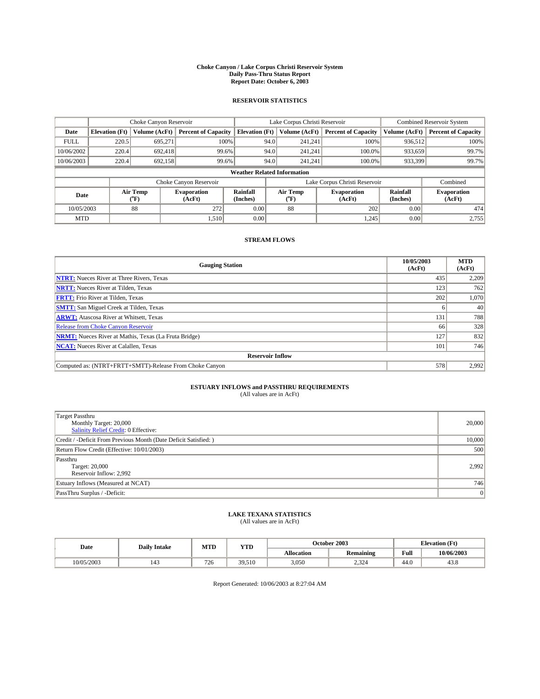#### **Choke Canyon / Lake Corpus Christi Reservoir System Daily Pass-Thru Status Report Report Date: October 6, 2003**

### **RESERVOIR STATISTICS**

|             | Choke Canyon Reservoir                                              |                             |                              |                             | Lake Corpus Christi Reservoir |                  |                              |                      | <b>Combined Reservoir System</b> |  |  |
|-------------|---------------------------------------------------------------------|-----------------------------|------------------------------|-----------------------------|-------------------------------|------------------|------------------------------|----------------------|----------------------------------|--|--|
| Date        | <b>Elevation</b> (Ft)                                               | Volume (AcFt)               | <b>Percent of Capacity</b>   | <b>Elevation</b> (Ft)       |                               | Volume (AcFt)    | <b>Percent of Capacity</b>   | Volume (AcFt)        | <b>Percent of Capacity</b>       |  |  |
| <b>FULL</b> | 220.5                                                               | 695,271                     | 100%                         |                             | 94.0                          | 241,241          | 100%                         | 936.512              | 100%                             |  |  |
| 10/06/2002  | 220.4                                                               | 692.418                     | 99.6%                        |                             | 94.0                          | 241.241          | $100.0\%$                    | 933,659              | 99.7%                            |  |  |
| 10/06/2003  | 220.4                                                               | 692,158                     | 99.6%                        |                             | 94.0                          | 241.241          | $100.0\%$                    | 933,399              | 99.7%                            |  |  |
|             | <b>Weather Related Information</b>                                  |                             |                              |                             |                               |                  |                              |                      |                                  |  |  |
|             | Lake Corpus Christi Reservoir<br>Choke Canyon Reservoir<br>Combined |                             |                              |                             |                               |                  |                              |                      |                                  |  |  |
| Date        |                                                                     | Air Temp<br>${}^{\circ}$ F) | <b>Evaporation</b><br>(AcFt) | <b>Rainfall</b><br>(Inches) |                               | Air Temp<br>("F) | <b>Evaporation</b><br>(AcFt) | Rainfall<br>(Inches) | <b>Evaporation</b><br>(AcFt)     |  |  |
| 10/05/2003  |                                                                     | 88                          | 272                          | 0.00                        |                               | 88               | 202                          | 0.00                 | 474                              |  |  |
| <b>MTD</b>  |                                                                     |                             | 1,510                        | 0.00                        |                               |                  | 1,245                        | 0.00                 | 2,755                            |  |  |

### **STREAM FLOWS**

| <b>Gauging Station</b>                                       | 10/05/2003<br>(AcFt) | <b>MTD</b><br>(AcFt) |
|--------------------------------------------------------------|----------------------|----------------------|
| <b>NTRT:</b> Nueces River at Three Rivers, Texas             | 435                  | 2,209                |
| <b>NRTT:</b> Nueces River at Tilden, Texas                   | 123                  | 762                  |
| <b>FRTT:</b> Frio River at Tilden, Texas                     | 202                  | 1,070                |
| <b>SMTT:</b> San Miguel Creek at Tilden, Texas               |                      | 40                   |
| <b>ARWT:</b> Atascosa River at Whitsett, Texas               | 131                  | 788                  |
| <b>Release from Choke Canyon Reservoir</b>                   | 66                   | 328                  |
| <b>NRMT:</b> Nueces River at Mathis, Texas (La Fruta Bridge) | 127                  | 832                  |
| <b>NCAT:</b> Nueces River at Calallen, Texas                 | 101                  | 746                  |
| <b>Reservoir Inflow</b>                                      |                      |                      |
| Computed as: (NTRT+FRTT+SMTT)-Release From Choke Canyon      | 578                  | 2,992                |

## **ESTUARY INFLOWS and PASSTHRU REQUIREMENTS**<br>(All values are in AcFt)

| <b>Target Passthru</b><br>Monthly Target: 20,000<br>Salinity Relief Credit: 0 Effective: | 20,000 |
|------------------------------------------------------------------------------------------|--------|
| Credit / -Deficit From Previous Month (Date Deficit Satisfied: )                         | 10,000 |
| Return Flow Credit (Effective: 10/01/2003)                                               | 500    |
| Passthru<br>Target: 20,000<br>Reservoir Inflow: 2,992                                    | 2,992  |
| Estuary Inflows (Measured at NCAT)                                                       | 746    |
| PassThru Surplus / -Deficit:                                                             | 0      |

# **LAKE TEXANA STATISTICS** (All values are in AcFt)

| Date       | <b>Daily Intake</b> | MTD | <b>YTD</b> | October 2003      |                        |      | <b>Elevation</b> (Ft) |  |
|------------|---------------------|-----|------------|-------------------|------------------------|------|-----------------------|--|
|            |                     |     |            | <b>Allocation</b> | <b>Remaining</b>       | Full | 10/06/2003            |  |
| 10/05/2003 | 143                 | 726 | 39.510     | 3,050             | $\sim$ $\sim$<br>2,324 | 44.0 | 45.8                  |  |

Report Generated: 10/06/2003 at 8:27:04 AM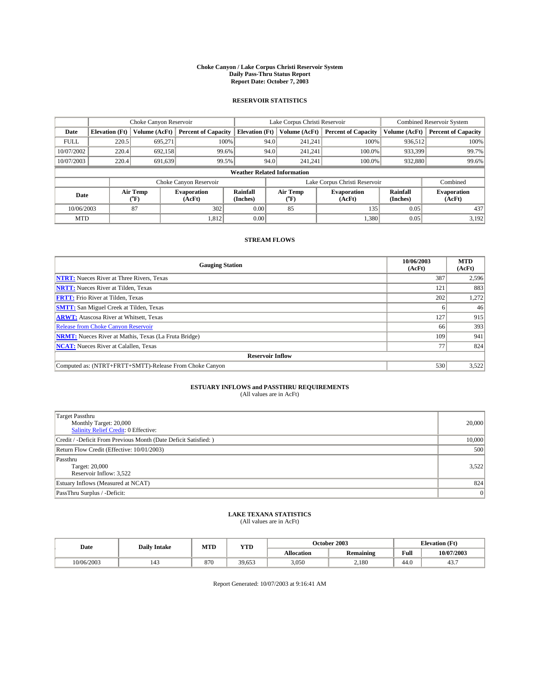#### **Choke Canyon / Lake Corpus Christi Reservoir System Daily Pass-Thru Status Report Report Date: October 7, 2003**

### **RESERVOIR STATISTICS**

|             | Choke Canyon Reservoir             |                  |                              |                       | Lake Corpus Christi Reservoir |                  |                               |                      | <b>Combined Reservoir System</b> |  |  |
|-------------|------------------------------------|------------------|------------------------------|-----------------------|-------------------------------|------------------|-------------------------------|----------------------|----------------------------------|--|--|
| Date        | <b>Elevation</b> (Ft)              | Volume (AcFt)    | <b>Percent of Capacity</b>   | <b>Elevation (Ft)</b> |                               | Volume (AcFt)    | <b>Percent of Capacity</b>    | Volume (AcFt)        | <b>Percent of Capacity</b>       |  |  |
| <b>FULL</b> | 220.5                              | 695,271          | 100%                         |                       | 94.0                          | 241,241          | 100%                          | 936.512              | 100%                             |  |  |
| 10/07/2002  | 220.4                              | 692.158          | 99.6%                        |                       | 94.0                          | 241.241          | $100.0\%$                     | 933,399              | 99.7%                            |  |  |
| 10/07/2003  | 220.4                              | 691,639          | 99.5%                        |                       | 94.0                          | 241,241          | $100.0\%$                     | 932,880              | 99.6%                            |  |  |
|             | <b>Weather Related Information</b> |                  |                              |                       |                               |                  |                               |                      |                                  |  |  |
|             |                                    |                  | Choke Canyon Reservoir       |                       |                               |                  | Lake Corpus Christi Reservoir |                      | Combined                         |  |  |
| Date        |                                    | Air Temp<br>(°F) | <b>Evaporation</b><br>(AcFt) | Rainfall<br>(Inches)  |                               | Air Temp<br>("F) | <b>Evaporation</b><br>(AcFt)  | Rainfall<br>(Inches) | <b>Evaporation</b><br>(AcFt)     |  |  |
| 10/06/2003  |                                    | 87               | 302                          | 0.00                  |                               | 85               | 135                           | 0.05                 | 437                              |  |  |
| <b>MTD</b>  |                                    |                  | 1,812                        | 0.00                  |                               |                  | 1,380                         | 0.05                 | 3,192                            |  |  |

### **STREAM FLOWS**

| <b>Gauging Station</b>                                       | 10/06/2003<br>(AcFt) | <b>MTD</b><br>(AcFt) |
|--------------------------------------------------------------|----------------------|----------------------|
| <b>NTRT:</b> Nueces River at Three Rivers, Texas             | 387                  | 2,596                |
| <b>NRTT:</b> Nueces River at Tilden, Texas                   | 121                  | 883                  |
| <b>FRTT:</b> Frio River at Tilden, Texas                     | 202                  | 1,272                |
| <b>SMTT:</b> San Miguel Creek at Tilden, Texas               |                      | 46                   |
| <b>ARWT:</b> Atascosa River at Whitsett, Texas               | 127                  | 915                  |
| <b>Release from Choke Canyon Reservoir</b>                   | 66                   | 393                  |
| <b>NRMT:</b> Nueces River at Mathis, Texas (La Fruta Bridge) | 109                  | 941                  |
| <b>NCAT:</b> Nueces River at Calallen, Texas                 | 77                   | 824                  |
| <b>Reservoir Inflow</b>                                      |                      |                      |
| Computed as: (NTRT+FRTT+SMTT)-Release From Choke Canyon      | 530                  | 3,522                |

# **ESTUARY INFLOWS and PASSTHRU REQUIREMENTS**<br>(All values are in AcFt)

| <b>Target Passthru</b><br>Monthly Target: 20,000<br>Salinity Relief Credit: 0 Effective: | 20,000 |
|------------------------------------------------------------------------------------------|--------|
| Credit / -Deficit From Previous Month (Date Deficit Satisfied: )                         | 10,000 |
| Return Flow Credit (Effective: 10/01/2003)                                               | 500    |
| Passthru<br>Target: 20,000<br>Reservoir Inflow: 3,522                                    | 3,522  |
| Estuary Inflows (Measured at NCAT)                                                       | 824    |
| PassThru Surplus / -Deficit:                                                             | 0      |

# **LAKE TEXANA STATISTICS** (All values are in AcFt)

| Date       | <b>Daily Intake</b> | MTD | YTD                   |                   | October 2003     | <b>Elevation</b> (Ft) |            |
|------------|---------------------|-----|-----------------------|-------------------|------------------|-----------------------|------------|
|            |                     |     |                       | <b>Allocation</b> | <b>Remaining</b> | Full                  | 10/07/2003 |
| 10/06/2003 | 143                 | 870 | 30<br>652<br>J 7.UJ J | 3,050             | 2,180            | $\sim$<br>44.U        | 45.,       |

Report Generated: 10/07/2003 at 9:16:41 AM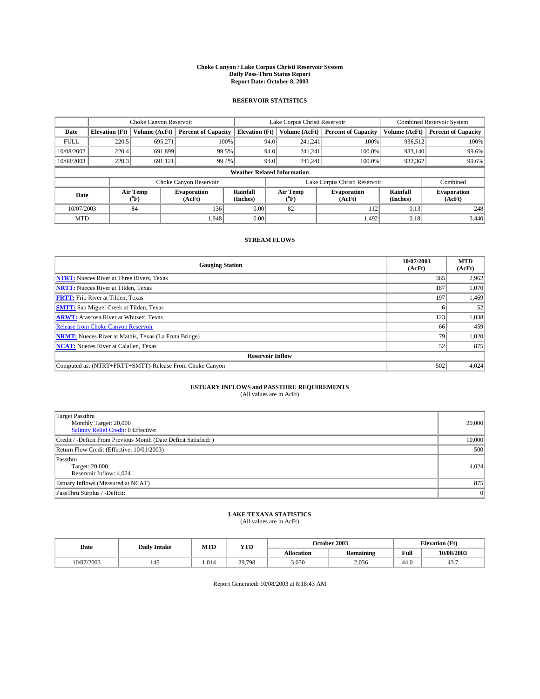#### **Choke Canyon / Lake Corpus Christi Reservoir System Daily Pass-Thru Status Report Report Date: October 8, 2003**

### **RESERVOIR STATISTICS**

|             | Choke Canyon Reservoir             |                  |                              |                       | Lake Corpus Christi Reservoir |                  |                               |                      | <b>Combined Reservoir System</b> |  |  |
|-------------|------------------------------------|------------------|------------------------------|-----------------------|-------------------------------|------------------|-------------------------------|----------------------|----------------------------------|--|--|
| Date        | <b>Elevation</b> (Ft)              | Volume (AcFt)    | <b>Percent of Capacity</b>   | <b>Elevation (Ft)</b> |                               | Volume (AcFt)    | <b>Percent of Capacity</b>    | Volume (AcFt)        | <b>Percent of Capacity</b>       |  |  |
| <b>FULL</b> | 220.5                              | 695,271          |                              | 100%                  | 94.0                          | 241,241          | 100%                          | 936.512              | 100%                             |  |  |
| 10/08/2002  | 220.4                              | 691.899          | 99.5%                        |                       | 94.0                          | 241.241          | $100.0\%$                     | 933,140              | 99.6%                            |  |  |
| 10/08/2003  | 220.3                              | 691,121          | 99.4%                        |                       | 94.0                          | 241,241          | $100.0\%$                     | 932,362              | 99.6%                            |  |  |
|             | <b>Weather Related Information</b> |                  |                              |                       |                               |                  |                               |                      |                                  |  |  |
|             |                                    |                  | Choke Canyon Reservoir       |                       |                               |                  | Lake Corpus Christi Reservoir |                      | Combined                         |  |  |
| Date        |                                    | Air Temp<br>(°F) | <b>Evaporation</b><br>(AcFt) | Rainfall<br>(Inches)  |                               | Air Temp<br>("F) | <b>Evaporation</b><br>(AcFt)  | Rainfall<br>(Inches) | <b>Evaporation</b><br>(AcFt)     |  |  |
| 10/07/2003  |                                    | 84               | 136                          | 0.00                  |                               | 82               | 112                           | 0.13                 | 248                              |  |  |
| <b>MTD</b>  |                                    |                  | 1.948                        | 0.00                  |                               |                  | 1,492                         | 0.18                 | 3,440                            |  |  |

### **STREAM FLOWS**

| <b>Gauging Station</b>                                       | 10/07/2003<br>(AcFt) | <b>MTD</b><br>(AcFt) |
|--------------------------------------------------------------|----------------------|----------------------|
| <b>NTRT:</b> Nueces River at Three Rivers, Texas             | 365                  | 2,962                |
| <b>NRTT:</b> Nueces River at Tilden, Texas                   | 187                  | 1,070                |
| <b>FRTT:</b> Frio River at Tilden, Texas                     | 197                  | 1,469                |
| <b>SMTT:</b> San Miguel Creek at Tilden, Texas               |                      | 52                   |
| <b>ARWT:</b> Atascosa River at Whitsett, Texas               | 123                  | 1,038                |
| <b>Release from Choke Canyon Reservoir</b>                   | 66                   | 459                  |
| <b>NRMT:</b> Nueces River at Mathis, Texas (La Fruta Bridge) | 79                   | 1,020                |
| <b>NCAT:</b> Nueces River at Calallen, Texas                 | 52                   | 875                  |
| <b>Reservoir Inflow</b>                                      |                      |                      |
| Computed as: (NTRT+FRTT+SMTT)-Release From Choke Canyon      | 502                  | 4,024                |

## **ESTUARY INFLOWS and PASSTHRU REQUIREMENTS**<br>(All values are in AcFt)

| <b>Target Passthru</b><br>Monthly Target: 20,000<br>Salinity Relief Credit: 0 Effective: | 20,000 |
|------------------------------------------------------------------------------------------|--------|
| Credit / -Deficit From Previous Month (Date Deficit Satisfied: )                         | 10,000 |
| Return Flow Credit (Effective: 10/01/2003)                                               | 500    |
| Passthru<br>Target: 20,000<br>Reservoir Inflow: 4,024                                    | 4,024  |
| Estuary Inflows (Measured at NCAT)                                                       | 875    |
| PassThru Surplus / -Deficit:                                                             | 0      |

# **LAKE TEXANA STATISTICS** (All values are in AcFt)

| Date       | <b>Daily Intake</b> | MTD   | YTD    |                   | October 2003     | <b>Elevation</b> (Ft) |            |
|------------|---------------------|-------|--------|-------------------|------------------|-----------------------|------------|
|            |                     |       |        | <b>Allocation</b> | <b>Remaining</b> | Full                  | 10/08/2003 |
| 10/07/2003 | 145                 | 1.014 | 39.798 | 3,050             | 2,036            | $\sim$<br>44.U        | 45.,       |

Report Generated: 10/08/2003 at 8:18:43 AM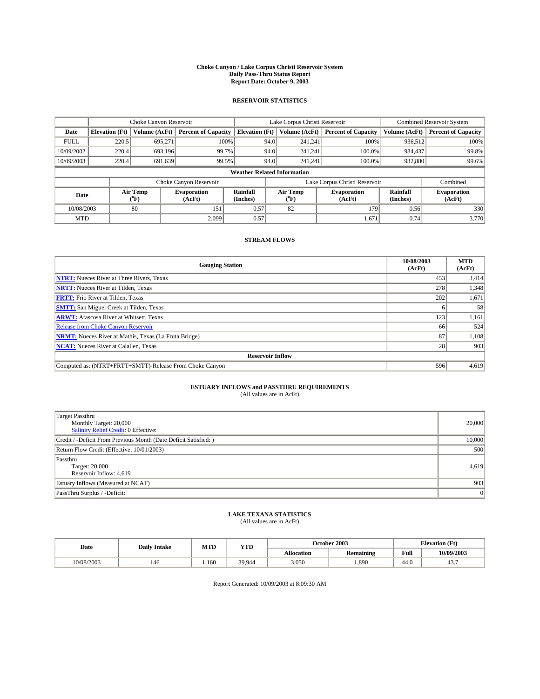#### **Choke Canyon / Lake Corpus Christi Reservoir System Daily Pass-Thru Status Report Report Date: October 9, 2003**

### **RESERVOIR STATISTICS**

|             | Choke Canyon Reservoir             |                  | Lake Corpus Christi Reservoir |                       |      |                  | <b>Combined Reservoir System</b> |                      |                              |
|-------------|------------------------------------|------------------|-------------------------------|-----------------------|------|------------------|----------------------------------|----------------------|------------------------------|
| Date        | <b>Elevation</b> (Ft)              | Volume (AcFt)    | <b>Percent of Capacity</b>    | <b>Elevation (Ft)</b> |      | Volume (AcFt)    | <b>Percent of Capacity</b>       | Volume (AcFt)        | <b>Percent of Capacity</b>   |
| <b>FULL</b> | 220.5                              | 695,271          | 100%                          |                       | 94.0 | 241,241          | 100%                             | 936.512              | 100%                         |
| 10/09/2002  | 220.4                              | 693.196          | 99.7%                         |                       | 94.0 | 241.241          | $100.0\%$                        | 934,437              | 99.8%                        |
| 10/09/2003  | 220.4                              | 691,639          | 99.5%                         |                       | 94.0 | 241,241          | $100.0\%$                        | 932,880              | 99.6%                        |
|             | <b>Weather Related Information</b> |                  |                               |                       |      |                  |                                  |                      |                              |
|             |                                    |                  | Choke Canyon Reservoir        |                       |      |                  | Lake Corpus Christi Reservoir    |                      | Combined                     |
| Date        |                                    | Air Temp<br>(°F) | <b>Evaporation</b><br>(AcFt)  | Rainfall<br>(Inches)  |      | Air Temp<br>("F) | <b>Evaporation</b><br>(AcFt)     | Rainfall<br>(Inches) | <b>Evaporation</b><br>(AcFt) |
| 10/08/2003  |                                    | 80               | 151                           | 0.57                  |      | 82               | 179                              | 0.56                 | 330                          |
| <b>MTD</b>  |                                    |                  | 2,099                         | 0.57                  |      |                  | 1,671                            | 0.74                 | 3,770                        |

### **STREAM FLOWS**

| <b>Gauging Station</b>                                       | 10/08/2003<br>(AcFt) | <b>MTD</b><br>(AcFt) |
|--------------------------------------------------------------|----------------------|----------------------|
| <b>NTRT:</b> Nueces River at Three Rivers, Texas             | 453                  | 3,414                |
| <b>NRTT:</b> Nueces River at Tilden, Texas                   | 278                  | 1,348                |
| <b>FRTT:</b> Frio River at Tilden, Texas                     | 202                  | 1,671                |
| <b>SMTT:</b> San Miguel Creek at Tilden, Texas               |                      | 58                   |
| <b>ARWT:</b> Atascosa River at Whitsett, Texas               | 123                  | 1,161                |
| Release from Choke Canyon Reservoir                          | 66                   | 524                  |
| <b>NRMT:</b> Nueces River at Mathis, Texas (La Fruta Bridge) | 87                   | 1,108                |
| <b>NCAT:</b> Nueces River at Calallen, Texas                 | 28                   | 903                  |
| <b>Reservoir Inflow</b>                                      |                      |                      |
| Computed as: (NTRT+FRTT+SMTT)-Release From Choke Canyon      | 596                  | 4,619                |

# **ESTUARY INFLOWS and PASSTHRU REQUIREMENTS**<br>(All values are in AcFt)

| <b>Target Passthru</b><br>Monthly Target: 20,000<br>Salinity Relief Credit: 0 Effective: | 20,000 |
|------------------------------------------------------------------------------------------|--------|
| Credit / -Deficit From Previous Month (Date Deficit Satisfied: )                         | 10,000 |
| Return Flow Credit (Effective: 10/01/2003)                                               | 500    |
| Passthru<br>Target: 20,000<br>Reservoir Inflow: 4,619                                    | 4,619  |
| Estuary Inflows (Measured at NCAT)                                                       | 903    |
| PassThru Surplus / -Deficit:                                                             | 0      |

# **LAKE TEXANA STATISTICS** (All values are in AcFt)

| Date       | <b>Daily Intake</b> | MTD  | <b>YTD</b> | October 2003      |                                          |           | <b>Elevation</b> (Ft) |  |
|------------|---------------------|------|------------|-------------------|------------------------------------------|-----------|-----------------------|--|
|            |                     |      |            | <b>Allocation</b> | $\ddot{\phantom{a}}$<br><b>Remaining</b> | Full      | 10/09/2003            |  |
| 10/08/2003 | 146                 | .160 | 39 944     | 3,050             | .890                                     | -<br>44.U | 45.,                  |  |

Report Generated: 10/09/2003 at 8:09:30 AM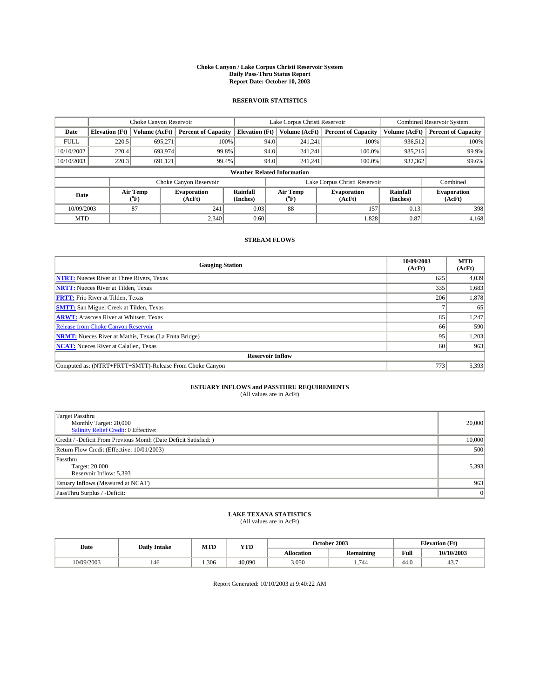#### **Choke Canyon / Lake Corpus Christi Reservoir System Daily Pass-Thru Status Report Report Date: October 10, 2003**

### **RESERVOIR STATISTICS**

|                                    | Choke Canyon Reservoir |                  | Lake Corpus Christi Reservoir |                             |      |                  | <b>Combined Reservoir System</b> |                      |                              |
|------------------------------------|------------------------|------------------|-------------------------------|-----------------------------|------|------------------|----------------------------------|----------------------|------------------------------|
| Date                               | <b>Elevation</b> (Ft)  | Volume (AcFt)    | <b>Percent of Capacity</b>    | <b>Elevation (Ft)</b>       |      | Volume (AcFt)    | <b>Percent of Capacity</b>       | Volume (AcFt)        | <b>Percent of Capacity</b>   |
| <b>FULL</b>                        | 220.5                  | 695,271          | 100%                          |                             | 94.0 | 241,241          | 100%                             | 936.512              | 100%                         |
| 10/10/2002                         | 220.4                  | 693,974          | 99.8%                         |                             | 94.0 | 241.241          | $100.0\%$                        | 935,215              | 99.9%                        |
| 10/10/2003                         | 220.3                  | 691,121          | 99.4%                         |                             | 94.0 | 241,241          | $100.0\%$                        | 932,362              | 99.6%                        |
| <b>Weather Related Information</b> |                        |                  |                               |                             |      |                  |                                  |                      |                              |
|                                    |                        |                  | Choke Canyon Reservoir        |                             |      |                  | Lake Corpus Christi Reservoir    |                      | Combined                     |
| Date                               |                        | Air Temp<br>(°F) | <b>Evaporation</b><br>(AcFt)  | <b>Rainfall</b><br>(Inches) |      | Air Temp<br>("F) | <b>Evaporation</b><br>(AcFt)     | Rainfall<br>(Inches) | <b>Evaporation</b><br>(AcFt) |
| 10/09/2003                         |                        | 87               | 241                           | 0.03                        |      | 88               | 157                              | 0.13                 | 398                          |
| <b>MTD</b>                         |                        |                  | 2,340                         | 0.60                        |      |                  | 1,828                            | 0.87                 | 4,168                        |

### **STREAM FLOWS**

| <b>Gauging Station</b>                                       | 10/09/2003<br>(AcFt) | <b>MTD</b><br>(AcFt) |
|--------------------------------------------------------------|----------------------|----------------------|
| <b>NTRT:</b> Nueces River at Three Rivers, Texas             | 625                  | 4,039                |
| <b>NRTT:</b> Nueces River at Tilden, Texas                   | 335                  | 1,683                |
| <b>FRTT:</b> Frio River at Tilden, Texas                     | 206                  | 1,878                |
| <b>SMTT:</b> San Miguel Creek at Tilden, Texas               |                      | 65                   |
| <b>ARWT:</b> Atascosa River at Whitsett, Texas               | 85                   | 1,247                |
| Release from Choke Canyon Reservoir                          | 66                   | 590                  |
| <b>NRMT:</b> Nueces River at Mathis, Texas (La Fruta Bridge) | 95                   | 1,203                |
| <b>NCAT:</b> Nueces River at Calallen, Texas                 | 60                   | 963                  |
| <b>Reservoir Inflow</b>                                      |                      |                      |
| Computed as: (NTRT+FRTT+SMTT)-Release From Choke Canyon      | 773                  | 5,393                |

# **ESTUARY INFLOWS and PASSTHRU REQUIREMENTS**<br>(All values are in AcFt)

| <b>Target Passthru</b>                                           |        |
|------------------------------------------------------------------|--------|
| Monthly Target: 20,000                                           | 20,000 |
| Salinity Relief Credit: 0 Effective:                             |        |
| Credit / -Deficit From Previous Month (Date Deficit Satisfied: ) | 10,000 |
| Return Flow Credit (Effective: 10/01/2003)                       | 500    |
| Passthru                                                         |        |
| Target: 20,000                                                   | 5,393  |
| Reservoir Inflow: 5,393                                          |        |
| Estuary Inflows (Measured at NCAT)                               | 963    |
| PassThru Surplus / -Deficit:                                     | 0      |

# **LAKE TEXANA STATISTICS** (All values are in AcFt)

| Date       | <b>Daily Intake</b> | MTD  | YTD    |                   | October 2003     | <b>Elevation</b> (Ft) |            |
|------------|---------------------|------|--------|-------------------|------------------|-----------------------|------------|
|            |                     |      |        | <b>Allocation</b> | <b>Remaining</b> | Full                  | 10/10/2003 |
| 10/09/2003 | 146                 | .306 | 40.090 | 3,050             | .744             | $\sim$<br>44.U        | 45.,       |

Report Generated: 10/10/2003 at 9:40:22 AM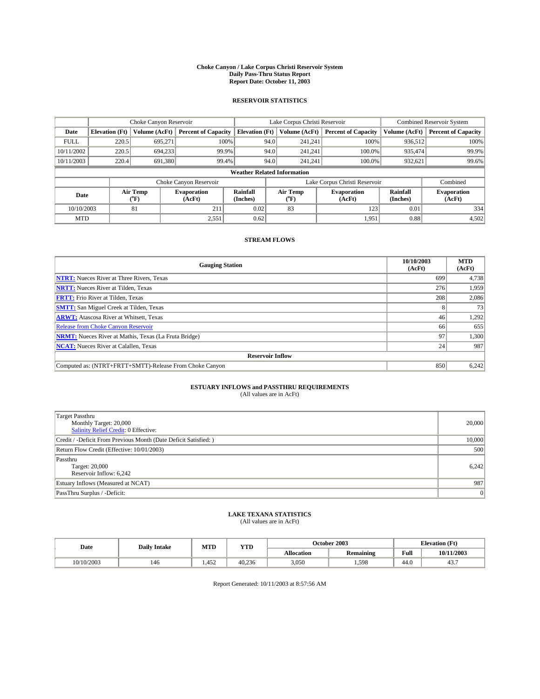#### **Choke Canyon / Lake Corpus Christi Reservoir System Daily Pass-Thru Status Report Report Date: October 11, 2003**

### **RESERVOIR STATISTICS**

|                                    | Choke Canyon Reservoir |                             |                              |                             | Lake Corpus Christi Reservoir |                  |                               |                             | <b>Combined Reservoir System</b> |  |
|------------------------------------|------------------------|-----------------------------|------------------------------|-----------------------------|-------------------------------|------------------|-------------------------------|-----------------------------|----------------------------------|--|
| Date                               | <b>Elevation</b> (Ft)  | Volume (AcFt)               | <b>Percent of Capacity</b>   | <b>Elevation</b> (Ft)       |                               | Volume (AcFt)    | <b>Percent of Capacity</b>    | Volume (AcFt)               | <b>Percent of Capacity</b>       |  |
| <b>FULL</b>                        | 220.5                  | 695,271                     | 100%                         |                             | 94.0                          | 241,241          | 100%                          | 936.512                     | 100%                             |  |
| 10/11/2002                         | 220.5                  | 694,233                     | 99.9%                        |                             | 94.0                          | 241.241          | $100.0\%$                     | 935.474                     | 99.9%                            |  |
| 10/11/2003                         | 220.4                  | 691.380                     | 99.4%                        |                             | 94.0                          | 241.241          | $100.0\%$                     | 932,621                     | 99.6%                            |  |
| <b>Weather Related Information</b> |                        |                             |                              |                             |                               |                  |                               |                             |                                  |  |
|                                    |                        |                             | Choke Canyon Reservoir       |                             |                               |                  | Lake Corpus Christi Reservoir |                             | Combined                         |  |
| Date                               |                        | Air Temp<br>${}^{\circ}$ F) | <b>Evaporation</b><br>(AcFt) | <b>Rainfall</b><br>(Inches) |                               | Air Temp<br>("F) | <b>Evaporation</b><br>(AcFt)  | <b>Rainfall</b><br>(Inches) | <b>Evaporation</b><br>(AcFt)     |  |
| 10/10/2003                         |                        | 81                          | 211                          | 0.02                        |                               | 83               | 123                           | 0.01                        | 334                              |  |
| <b>MTD</b>                         |                        |                             | 2,551                        | 0.62                        |                               |                  | 1,951                         | 0.88                        | 4,502                            |  |

### **STREAM FLOWS**

| <b>Gauging Station</b>                                       | 10/10/2003<br>(AcFt) | <b>MTD</b><br>(AcFt) |
|--------------------------------------------------------------|----------------------|----------------------|
| <b>NTRT:</b> Nueces River at Three Rivers, Texas             | 699                  | 4,738                |
| <b>NRTT:</b> Nueces River at Tilden, Texas                   | 276                  | 1.959                |
| <b>FRTT:</b> Frio River at Tilden, Texas                     | 208                  | 2,086                |
| <b>SMTT:</b> San Miguel Creek at Tilden, Texas               |                      | 73                   |
| <b>ARWT:</b> Atascosa River at Whitsett, Texas               | 46                   | 1,292                |
| Release from Choke Canyon Reservoir                          | 66                   | 655                  |
| <b>NRMT:</b> Nueces River at Mathis, Texas (La Fruta Bridge) | 97                   | 1,300                |
| <b>NCAT:</b> Nueces River at Calallen, Texas                 | 24                   | 987                  |
| <b>Reservoir Inflow</b>                                      |                      |                      |
| Computed as: (NTRT+FRTT+SMTT)-Release From Choke Canyon      | 850                  | 6,242                |

# **ESTUARY INFLOWS and PASSTHRU REQUIREMENTS**<br>(All values are in AcFt)

| <b>Target Passthru</b>                                           |        |
|------------------------------------------------------------------|--------|
| Monthly Target: 20,000                                           | 20,000 |
| Salinity Relief Credit: 0 Effective:                             |        |
| Credit / -Deficit From Previous Month (Date Deficit Satisfied: ) | 10,000 |
| Return Flow Credit (Effective: 10/01/2003)                       | 500    |
| Passthru                                                         |        |
| Target: 20,000                                                   | 6,242  |
| Reservoir Inflow: 6,242                                          |        |
| Estuary Inflows (Measured at NCAT)                               | 987    |
| PassThru Surplus / -Deficit:                                     | 0      |

# **LAKE TEXANA STATISTICS** (All values are in AcFt)

| Date       | <b>Daily Intake</b> | MTD  | YTD    |                   | October 2003           | <b>Elevation</b> (Ft) |            |
|------------|---------------------|------|--------|-------------------|------------------------|-----------------------|------------|
|            |                     |      |        | <b>Allocation</b> | $\cdot$ .<br>Remaining | Full                  | 10/11/2003 |
| 10/10/2003 | 146                 | .452 | 40.236 | 3,050             | .598                   | $\sim$<br>44.U        | 45.,       |

Report Generated: 10/11/2003 at 8:57:56 AM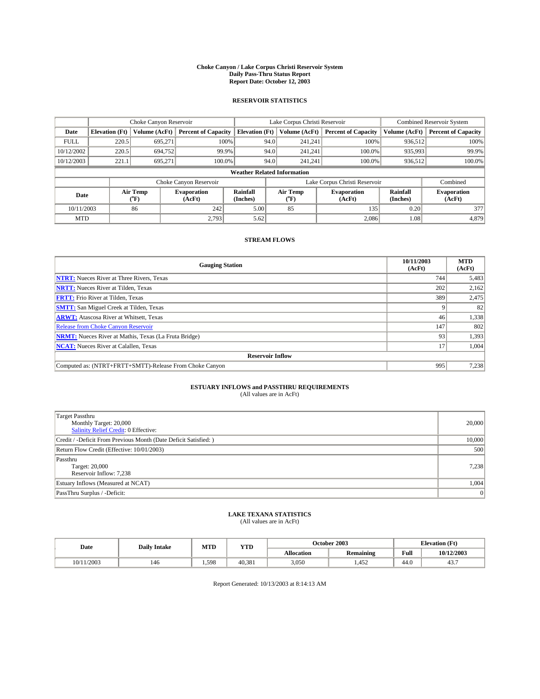#### **Choke Canyon / Lake Corpus Christi Reservoir System Daily Pass-Thru Status Report Report Date: October 12, 2003**

### **RESERVOIR STATISTICS**

|             | Choke Canyon Reservoir             |                  | Lake Corpus Christi Reservoir |                             |      |                  | <b>Combined Reservoir System</b> |                      |                              |  |
|-------------|------------------------------------|------------------|-------------------------------|-----------------------------|------|------------------|----------------------------------|----------------------|------------------------------|--|
| Date        | <b>Elevation</b> (Ft)              | Volume (AcFt)    | <b>Percent of Capacity</b>    | <b>Elevation (Ft)</b>       |      | Volume (AcFt)    | <b>Percent of Capacity</b>       | Volume (AcFt)        | <b>Percent of Capacity</b>   |  |
| <b>FULL</b> | 220.5                              | 695,271          | 100%                          |                             | 94.0 | 241,241          | 100%                             | 936.512              | 100%                         |  |
| 10/12/2002  | 220.5                              | 694,752          | 99.9%                         |                             | 94.0 | 241.241          | $100.0\%$                        | 935,993              | 99.9%                        |  |
| 10/12/2003  | 221.1                              | 695.271          | 100.0%                        |                             | 94.0 | 241,241          | $100.0\%$                        | 936,512              | 100.0%                       |  |
|             | <b>Weather Related Information</b> |                  |                               |                             |      |                  |                                  |                      |                              |  |
|             |                                    |                  | Choke Canyon Reservoir        |                             |      |                  | Lake Corpus Christi Reservoir    |                      | Combined                     |  |
| Date        |                                    | Air Temp<br>(°F) | <b>Evaporation</b><br>(AcFt)  | <b>Rainfall</b><br>(Inches) |      | Air Temp<br>("F) | <b>Evaporation</b><br>(AcFt)     | Rainfall<br>(Inches) | <b>Evaporation</b><br>(AcFt) |  |
| 10/11/2003  |                                    | 86               | 242                           | 5.00                        |      | 85               | 135                              | 0.20                 | 377                          |  |
| <b>MTD</b>  |                                    |                  | 2,793                         | 5.62                        |      |                  | 2,086                            | 1.08                 | 4,879                        |  |

### **STREAM FLOWS**

| <b>Gauging Station</b>                                       | 10/11/2003<br>(AcFt) | <b>MTD</b><br>(AcFt) |  |  |  |  |  |
|--------------------------------------------------------------|----------------------|----------------------|--|--|--|--|--|
| <b>NTRT:</b> Nueces River at Three Rivers, Texas             | 744                  | 5,483                |  |  |  |  |  |
| <b>NRTT:</b> Nueces River at Tilden, Texas                   | 202                  | 2,162                |  |  |  |  |  |
| <b>FRTT:</b> Frio River at Tilden, Texas                     | 389                  | 2,475                |  |  |  |  |  |
| <b>SMTT:</b> San Miguel Creek at Tilden, Texas               |                      | 82                   |  |  |  |  |  |
| <b>ARWT:</b> Atascosa River at Whitsett, Texas               | 46                   | 1,338                |  |  |  |  |  |
| <b>Release from Choke Canyon Reservoir</b>                   | 147                  | 802                  |  |  |  |  |  |
| <b>NRMT:</b> Nueces River at Mathis, Texas (La Fruta Bridge) | 93                   | 1,393                |  |  |  |  |  |
| <b>NCAT:</b> Nueces River at Calallen, Texas                 | 17                   | 1,004                |  |  |  |  |  |
| <b>Reservoir Inflow</b>                                      |                      |                      |  |  |  |  |  |
| Computed as: (NTRT+FRTT+SMTT)-Release From Choke Canyon      | 995                  | 7,238                |  |  |  |  |  |

# **ESTUARY INFLOWS and PASSTHRU REQUIREMENTS**<br>(All values are in AcFt)

| Target Passthru<br>Monthly Target: 20,000<br>Salinity Relief Credit: 0 Effective: | 20,000 |
|-----------------------------------------------------------------------------------|--------|
| Credit / -Deficit From Previous Month (Date Deficit Satisfied: )                  | 10,000 |
| Return Flow Credit (Effective: 10/01/2003)                                        | 500    |
| Passthru<br>Target: 20,000<br>Reservoir Inflow: 7,238                             | 7,238  |
| Estuary Inflows (Measured at NCAT)                                                | 1,004  |
| PassThru Surplus / -Deficit:                                                      | 0      |

# **LAKE TEXANA STATISTICS** (All values are in AcFt)

| Date          | <b>Daily Intake</b> | MTD  | YTD    |                   | October 2003     | <b>Elevation</b> (Ft) |            |
|---------------|---------------------|------|--------|-------------------|------------------|-----------------------|------------|
|               |                     |      |        | <b>Allocation</b> | <b>Remaining</b> | Full                  | 10/12/2003 |
| /2003<br>0/11 | 146                 | .598 | 40.381 | 3,050             | ,452             | $\sim$<br>44.U        | 45.,       |

Report Generated: 10/13/2003 at 8:14:13 AM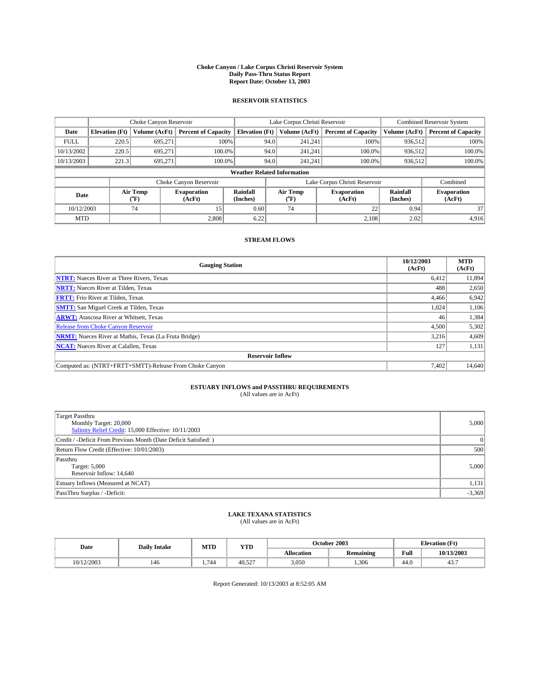#### **Choke Canyon / Lake Corpus Christi Reservoir System Daily Pass-Thru Status Report Report Date: October 13, 2003**

### **RESERVOIR STATISTICS**

|                                    |                       |                  | Lake Corpus Christi Reservoir |                             |      |                  | <b>Combined Reservoir System</b> |                      |                              |
|------------------------------------|-----------------------|------------------|-------------------------------|-----------------------------|------|------------------|----------------------------------|----------------------|------------------------------|
| Date                               | <b>Elevation</b> (Ft) | Volume (AcFt)    | <b>Percent of Capacity</b>    | <b>Elevation (Ft)</b>       |      | Volume (AcFt)    | <b>Percent of Capacity</b>       | Volume (AcFt)        | <b>Percent of Capacity</b>   |
| <b>FULL</b>                        | 220.5                 | 695,271          | 100%                          |                             | 94.0 | 241,241          | 100%                             | 936.512              | 100%                         |
| 10/13/2002                         | 220.5                 | 695.271          | $100.0\%$                     |                             | 94.0 | 241.241          | $100.0\%$                        | 936.512              | 100.0%                       |
| 10/13/2003                         | 221.3                 | 695.271          | 100.0%                        |                             | 94.0 | 241.241          | $100.0\%$                        | 936,512              | 100.0%                       |
| <b>Weather Related Information</b> |                       |                  |                               |                             |      |                  |                                  |                      |                              |
|                                    |                       |                  | Choke Canyon Reservoir        |                             |      |                  | Lake Corpus Christi Reservoir    |                      | Combined                     |
| Date                               |                       | Air Temp<br>(°F) | <b>Evaporation</b><br>(AcFt)  | <b>Rainfall</b><br>(Inches) |      | Air Temp<br>("F) | <b>Evaporation</b><br>(AcFt)     | Rainfall<br>(Inches) | <b>Evaporation</b><br>(AcFt) |
| 10/12/2003                         |                       | 74               | 15                            | 0.60                        |      | 74               | 22                               | 0.94                 | 37                           |
| <b>MTD</b>                         |                       |                  | 2,808                         | 6.22                        |      |                  | 2.108                            | 2.02                 | 4,916                        |

### **STREAM FLOWS**

| <b>Gauging Station</b>                                       | 10/12/2003<br>(AcFt) | <b>MTD</b><br>(AcFt) |
|--------------------------------------------------------------|----------------------|----------------------|
| <b>NTRT:</b> Nueces River at Three Rivers, Texas             | 6,412                | 11,894               |
| <b>NRTT:</b> Nueces River at Tilden, Texas                   | 488                  | 2,650                |
| <b>FRTT:</b> Frio River at Tilden, Texas                     | 4,466                | 6,942                |
| <b>SMTT:</b> San Miguel Creek at Tilden, Texas               | 1,024                | 1,106                |
| <b>ARWT:</b> Atascosa River at Whitsett, Texas               | 46                   | 1,384                |
| Release from Choke Canyon Reservoir                          | 4,500                | 5,302                |
| <b>NRMT:</b> Nueces River at Mathis, Texas (La Fruta Bridge) | 3,216                | 4,609                |
| <b>NCAT:</b> Nueces River at Calallen, Texas                 | 127                  | 1,131                |
| <b>Reservoir Inflow</b>                                      |                      |                      |
| Computed as: (NTRT+FRTT+SMTT)-Release From Choke Canyon      | 7.402                | 14.640               |

# **ESTUARY INFLOWS and PASSTHRU REQUIREMENTS**<br>(All values are in AcFt)

| Target Passthru<br>Monthly Target: 20,000<br>Salinity Relief Credit: 15,000 Effective: 10/11/2003 | 5,000    |
|---------------------------------------------------------------------------------------------------|----------|
| Credit / -Deficit From Previous Month (Date Deficit Satisfied: )                                  | 0        |
| Return Flow Credit (Effective: 10/01/2003)                                                        | 500      |
| Passthru<br>Target: 5,000<br>Reservoir Inflow: 14,640                                             | 5,000    |
| Estuary Inflows (Measured at NCAT)                                                                | 1,131    |
| PassThru Surplus / -Deficit:                                                                      | $-3,369$ |

# **LAKE TEXANA STATISTICS** (All values are in AcFt)

| Date       | <b>Daily Intake</b> | MTD                    | <b>YTD</b> |                   | October 2003 | <b>Elevation</b> (Ft) |            |
|------------|---------------------|------------------------|------------|-------------------|--------------|-----------------------|------------|
|            |                     |                        |            | <b>Allocation</b> | Remaining    | Full                  | 10/13/2003 |
| 10/12/2003 | 146                 | 74 <sub>0</sub><br>744 | 40.527     | 3,050             | .306         | $\sim$<br>44.V        | 45.,       |

Report Generated: 10/13/2003 at 8:52:05 AM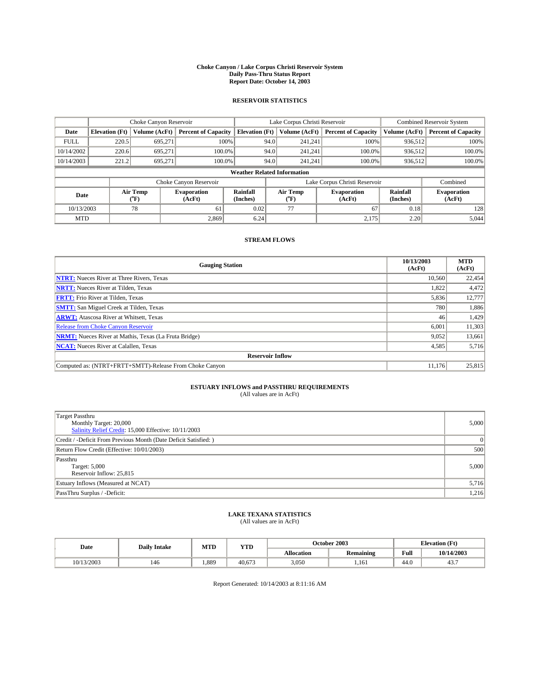#### **Choke Canyon / Lake Corpus Christi Reservoir System Daily Pass-Thru Status Report Report Date: October 14, 2003**

### **RESERVOIR STATISTICS**

|                                    | Choke Canyon Reservoir |                  | Lake Corpus Christi Reservoir |                             |      |                  | <b>Combined Reservoir System</b> |                      |                              |
|------------------------------------|------------------------|------------------|-------------------------------|-----------------------------|------|------------------|----------------------------------|----------------------|------------------------------|
| Date                               | <b>Elevation</b> (Ft)  | Volume (AcFt)    | <b>Percent of Capacity</b>    | <b>Elevation (Ft)</b>       |      | Volume (AcFt)    | <b>Percent of Capacity</b>       | Volume (AcFt)        | <b>Percent of Capacity</b>   |
| <b>FULL</b>                        | 220.5                  | 695,271          | 100%                          |                             | 94.0 | 241,241          | 100%                             | 936.512              | 100%                         |
| 10/14/2002                         | 220.6                  | 695.271          | $100.0\%$                     |                             | 94.0 | 241.241          | $100.0\%$                        | 936.512              | 100.0%                       |
| 10/14/2003                         | 221.2                  | 695.271          | 100.0%                        |                             | 94.0 | 241.241          | $100.0\%$                        | 936,512              | 100.0%                       |
| <b>Weather Related Information</b> |                        |                  |                               |                             |      |                  |                                  |                      |                              |
|                                    |                        |                  | Choke Canyon Reservoir        |                             |      |                  | Lake Corpus Christi Reservoir    |                      | Combined                     |
| Date                               |                        | Air Temp<br>(°F) | <b>Evaporation</b><br>(AcFt)  | <b>Rainfall</b><br>(Inches) |      | Air Temp<br>("F) | <b>Evaporation</b><br>(AcFt)     | Rainfall<br>(Inches) | <b>Evaporation</b><br>(AcFt) |
| 10/13/2003                         |                        | 78               | 61                            | 0.02                        |      | 77               | 67                               | 0.18                 | 128                          |
| <b>MTD</b>                         |                        |                  | 2,869                         | 6.24                        |      |                  | 2,175                            | 2.20                 | 5,044                        |

### **STREAM FLOWS**

| <b>Gauging Station</b>                                       | 10/13/2003<br>(AcFt) | <b>MTD</b><br>(AcFt) |
|--------------------------------------------------------------|----------------------|----------------------|
| <b>NTRT:</b> Nueces River at Three Rivers, Texas             | 10,560               | 22,454               |
| <b>NRTT:</b> Nueces River at Tilden, Texas                   | 1,822                | 4,472                |
| <b>FRTT:</b> Frio River at Tilden, Texas                     | 5,836                | 12,777               |
| <b>SMTT:</b> San Miguel Creek at Tilden, Texas               | 780                  | 1,886                |
| <b>ARWT:</b> Atascosa River at Whitsett, Texas               | 46                   | 1,429                |
| <b>Release from Choke Canyon Reservoir</b>                   | 6,001                | 11,303               |
| <b>NRMT:</b> Nueces River at Mathis, Texas (La Fruta Bridge) | 9,052                | 13,661               |
| <b>NCAT:</b> Nueces River at Calallen, Texas                 | 4,585                | 5,716                |
| <b>Reservoir Inflow</b>                                      |                      |                      |
| Computed as: (NTRT+FRTT+SMTT)-Release From Choke Canyon      | 11.176               | 25,815               |

# **ESTUARY INFLOWS and PASSTHRU REQUIREMENTS**<br>(All values are in AcFt)

| Target Passthru<br>Monthly Target: 20,000<br>Salinity Relief Credit: 15,000 Effective: 10/11/2003 | 5,000           |
|---------------------------------------------------------------------------------------------------|-----------------|
| Credit / -Deficit From Previous Month (Date Deficit Satisfied: )                                  | $\vert 0 \vert$ |
| Return Flow Credit (Effective: 10/01/2003)                                                        | 500             |
| Passthru<br>Target: 5,000<br>Reservoir Inflow: 25,815                                             | 5,000           |
| Estuary Inflows (Measured at NCAT)                                                                | 5,716           |
| PassThru Surplus / -Deficit:                                                                      | 1,216           |

# **LAKE TEXANA STATISTICS** (All values are in AcFt)

| Date       | <b>Daily Intake</b> | MTD   | <b>YTD</b> |                   | October 2003     | <b>Elevation</b> (Ft) |                       |
|------------|---------------------|-------|------------|-------------------|------------------|-----------------------|-----------------------|
|            |                     |       |            | <b>Allocation</b> | <b>Remaining</b> | Full                  | 10/14/2003            |
| 10/13/2003 | 146                 | 1,889 | 40.673     | 3,050             | 1.161            | 44.0                  | $\sim$ $\sim$<br>45., |

Report Generated: 10/14/2003 at 8:11:16 AM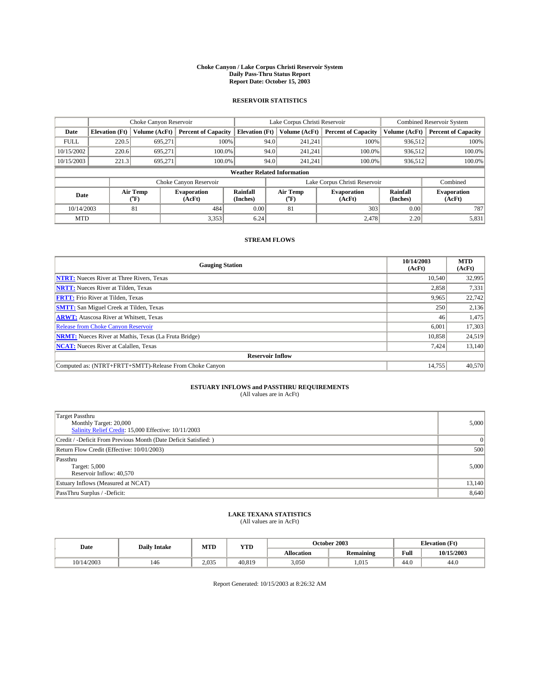#### **Choke Canyon / Lake Corpus Christi Reservoir System Daily Pass-Thru Status Report Report Date: October 15, 2003**

### **RESERVOIR STATISTICS**

|             | Choke Canyon Reservoir             |                  |                              | Lake Corpus Christi Reservoir | <b>Combined Reservoir System</b> |                  |                               |                      |                              |  |
|-------------|------------------------------------|------------------|------------------------------|-------------------------------|----------------------------------|------------------|-------------------------------|----------------------|------------------------------|--|
| Date        | <b>Elevation</b> (Ft)              | Volume (AcFt)    | <b>Percent of Capacity</b>   | <b>Elevation (Ft)</b>         |                                  | Volume (AcFt)    | <b>Percent of Capacity</b>    | Volume (AcFt)        | <b>Percent of Capacity</b>   |  |
| <b>FULL</b> | 220.5                              | 695,271          |                              | 100%                          | 94.0                             | 241,241          | 100%                          | 936.512              | 100%                         |  |
| 10/15/2002  | 220.6                              | 695.271          | $100.0\%$                    |                               | 94.0                             | 241.241          | $100.0\%$                     | 936.512              | 100.0%                       |  |
| 10/15/2003  | 221.3                              | 695.271          | 100.0%                       |                               | 94.0                             | 241,241          | $100.0\%$                     | 936,512              | 100.0%                       |  |
|             | <b>Weather Related Information</b> |                  |                              |                               |                                  |                  |                               |                      |                              |  |
|             |                                    |                  | Choke Canyon Reservoir       |                               |                                  |                  | Lake Corpus Christi Reservoir |                      | Combined                     |  |
| Date        |                                    | Air Temp<br>(°F) | <b>Evaporation</b><br>(AcFt) | <b>Rainfall</b><br>(Inches)   |                                  | Air Temp<br>("F) | <b>Evaporation</b><br>(AcFt)  | Rainfall<br>(Inches) | <b>Evaporation</b><br>(AcFt) |  |
| 10/14/2003  |                                    | 81               | 484                          | 0.00                          |                                  | 81               | 303                           | 0.00                 | 787                          |  |
| <b>MTD</b>  |                                    |                  | 3,353                        | 6.24                          |                                  |                  | 2,478                         | 2.20                 | 5,831                        |  |

### **STREAM FLOWS**

| <b>Gauging Station</b>                                       | 10/14/2003<br>(AcFt) | <b>MTD</b><br>(AcFt) |
|--------------------------------------------------------------|----------------------|----------------------|
| <b>NTRT:</b> Nueces River at Three Rivers, Texas             | 10.540               | 32,995               |
| <b>NRTT:</b> Nueces River at Tilden, Texas                   | 2,858                | 7,331                |
| <b>FRTT:</b> Frio River at Tilden, Texas                     | 9,965                | 22,742               |
| <b>SMTT:</b> San Miguel Creek at Tilden, Texas               | 250                  | 2,136                |
| <b>ARWT:</b> Atascosa River at Whitsett, Texas               | 46                   | 1,475                |
| <b>Release from Choke Canyon Reservoir</b>                   | 6,001                | 17,303               |
| <b>NRMT:</b> Nueces River at Mathis, Texas (La Fruta Bridge) | 10,858               | 24,519               |
| <b>NCAT:</b> Nueces River at Calallen, Texas                 | 7,424                | 13,140               |
| <b>Reservoir Inflow</b>                                      |                      |                      |
| Computed as: (NTRT+FRTT+SMTT)-Release From Choke Canyon      | 14,755               | 40,570               |

# **ESTUARY INFLOWS and PASSTHRU REQUIREMENTS**<br>(All values are in AcFt)

| Target Passthru<br>Monthly Target: 20,000<br>Salinity Relief Credit: 15,000 Effective: 10/11/2003 | 5,000    |
|---------------------------------------------------------------------------------------------------|----------|
| Credit / -Deficit From Previous Month (Date Deficit Satisfied: )                                  | $\Omega$ |
| Return Flow Credit (Effective: 10/01/2003)                                                        | 500      |
| Passthru<br>Target: 5,000<br>Reservoir Inflow: 40,570                                             | 5,000    |
| Estuary Inflows (Measured at NCAT)                                                                | 13,140   |
| PassThru Surplus / -Deficit:                                                                      | 8,640    |

# **LAKE TEXANA STATISTICS** (All values are in AcFt)

| Date       | <b>Daily Intake</b> | MTD   | YTD    |                   | October 2003 | <b>Elevation</b> (Ft) |            |
|------------|---------------------|-------|--------|-------------------|--------------|-----------------------|------------|
|            |                     |       |        | <b>Allocation</b> | Remaining    | Full                  | 10/15/2003 |
| 10/14/2003 | 146                 | 2.035 | 40.819 | 3,050             | 1.015        | 44.0                  | 44.0       |

Report Generated: 10/15/2003 at 8:26:32 AM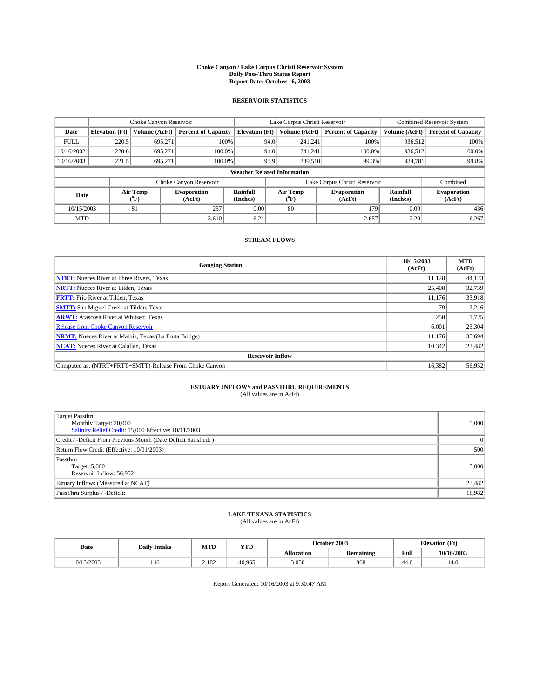#### **Choke Canyon / Lake Corpus Christi Reservoir System Daily Pass-Thru Status Report Report Date: October 16, 2003**

### **RESERVOIR STATISTICS**

|                                    | Choke Canyon Reservoir |                  |                              | Lake Corpus Christi Reservoir | <b>Combined Reservoir System</b> |                  |                               |                      |                              |
|------------------------------------|------------------------|------------------|------------------------------|-------------------------------|----------------------------------|------------------|-------------------------------|----------------------|------------------------------|
| Date                               | <b>Elevation</b> (Ft)  | Volume (AcFt)    | <b>Percent of Capacity</b>   | <b>Elevation (Ft)</b>         |                                  | Volume (AcFt)    | <b>Percent of Capacity</b>    | Volume (AcFt)        | <b>Percent of Capacity</b>   |
| <b>FULL</b>                        | 220.5                  | 695,271          |                              | 100%                          | 94.0                             | 241,241          | 100%                          | 936.512              | 100%                         |
| 10/16/2002                         | 220.6                  | 695.271          | $100.0\%$                    |                               | 94.0                             | 241.241          | $100.0\%$                     | 936.512              | 100.0%                       |
| 10/16/2003                         | 221.5                  | 695.271          | 100.0%                       |                               | 93.9                             | 239,510          | 99.3%                         | 934,781              | 99.8%                        |
| <b>Weather Related Information</b> |                        |                  |                              |                               |                                  |                  |                               |                      |                              |
|                                    |                        |                  | Choke Canyon Reservoir       |                               |                                  |                  | Lake Corpus Christi Reservoir |                      | Combined                     |
| Date                               |                        | Air Temp<br>(°F) | <b>Evaporation</b><br>(AcFt) | <b>Rainfall</b><br>(Inches)   |                                  | Air Temp<br>("F) | <b>Evaporation</b><br>(AcFt)  | Rainfall<br>(Inches) | <b>Evaporation</b><br>(AcFt) |
| 10/15/2003                         |                        | 81               | 257                          | 0.00                          |                                  | 80               | 179                           | 0.00                 | 436                          |
| <b>MTD</b>                         |                        |                  | 3,610                        | 6.24                          |                                  |                  | 2,657                         | 2.20                 | 6,267                        |

### **STREAM FLOWS**

| <b>Gauging Station</b>                                       | 10/15/2003<br>(AcFt) | <b>MTD</b><br>(AcFt) |
|--------------------------------------------------------------|----------------------|----------------------|
| <b>NTRT:</b> Nueces River at Three Rivers, Texas             | 11.128               | 44,123               |
| <b>NRTT:</b> Nueces River at Tilden, Texas                   | 25,408               | 32.739               |
| <b>FRTT:</b> Frio River at Tilden, Texas                     | 11.176               | 33,918               |
| <b>SMTT:</b> San Miguel Creek at Tilden, Texas               | 79                   | 2,216                |
| <b>ARWT:</b> Atascosa River at Whitsett, Texas               | 250                  | 1,725                |
| <b>Release from Choke Canyon Reservoir</b>                   | 6,001                | 23,304               |
| <b>NRMT:</b> Nueces River at Mathis, Texas (La Fruta Bridge) | 11.176               | 35,694               |
| <b>NCAT:</b> Nueces River at Calallen, Texas                 | 10,342               | 23,482               |
| <b>Reservoir Inflow</b>                                      |                      |                      |
| Computed as: (NTRT+FRTT+SMTT)-Release From Choke Canyon      | 16,382               | 56,952               |

# **ESTUARY INFLOWS and PASSTHRU REQUIREMENTS**<br>(All values are in AcFt)

| Target Passthru<br>Monthly Target: 20,000<br>Salinity Relief Credit: 15,000 Effective: 10/11/2003 | 5,000    |
|---------------------------------------------------------------------------------------------------|----------|
| Credit / -Deficit From Previous Month (Date Deficit Satisfied: )                                  | $\Omega$ |
| Return Flow Credit (Effective: 10/01/2003)                                                        | 500      |
| Passthru<br>Target: 5,000<br>Reservoir Inflow: 56,952                                             | 5,000    |
| Estuary Inflows (Measured at NCAT)                                                                | 23,482   |
| PassThru Surplus / -Deficit:                                                                      | 18,982   |

# **LAKE TEXANA STATISTICS** (All values are in AcFt)

| Date       | <b>Daily Intake</b> | MTD   | <b>YTD</b> |                   | October 2003     | <b>Elevation</b> (Ft) |            |
|------------|---------------------|-------|------------|-------------------|------------------|-----------------------|------------|
|            |                     |       |            | <b>Allocation</b> | <b>Remaining</b> | Full                  | 10/16/2003 |
| 10/15/2003 | 146                 | 2.182 | 40.965     | 3,050             | 868              | $\sim$<br>44.U        | 44.0       |

Report Generated: 10/16/2003 at 9:30:47 AM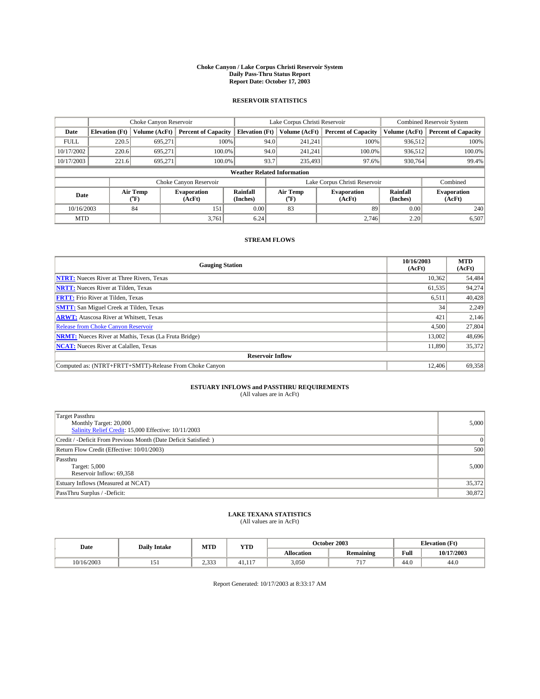#### **Choke Canyon / Lake Corpus Christi Reservoir System Daily Pass-Thru Status Report Report Date: October 17, 2003**

### **RESERVOIR STATISTICS**

|                                    | Choke Canyon Reservoir |                          |                              |                             | Lake Corpus Christi Reservoir |                  |                               |                      | <b>Combined Reservoir System</b> |  |  |
|------------------------------------|------------------------|--------------------------|------------------------------|-----------------------------|-------------------------------|------------------|-------------------------------|----------------------|----------------------------------|--|--|
| Date                               | <b>Elevation</b> (Ft)  | Volume (AcFt)            | <b>Percent of Capacity</b>   | <b>Elevation</b> (Ft)       |                               | Volume (AcFt)    | <b>Percent of Capacity</b>    | Volume (AcFt)        | <b>Percent of Capacity</b>       |  |  |
| <b>FULL</b>                        | 220.5                  | 695.271                  | 100%                         |                             | 94.0                          | 241,241          | 100%                          | 936,512              | 100%                             |  |  |
| 10/17/2002                         | 220.6                  | 695,271                  | $100.0\%$                    |                             | 94.0                          | 241.241          | 100.0%                        | 936.512              | 100.0%                           |  |  |
| 10/17/2003                         | 221.6                  | 695.271                  | 100.0%                       |                             | 93.7                          | 235,493          | 97.6%                         | 930,764              | 99.4%                            |  |  |
| <b>Weather Related Information</b> |                        |                          |                              |                             |                               |                  |                               |                      |                                  |  |  |
|                                    |                        |                          | Choke Canyon Reservoir       |                             |                               |                  | Lake Corpus Christi Reservoir |                      | Combined                         |  |  |
| Date                               |                        | Air Temp<br>$\rm ^{o}F)$ | <b>Evaporation</b><br>(AcFt) | <b>Rainfall</b><br>(Inches) |                               | Air Temp<br>("F) | <b>Evaporation</b><br>(AcFt)  | Rainfall<br>(Inches) | <b>Evaporation</b><br>(AcFt)     |  |  |
| 10/16/2003                         |                        | 84                       | 151                          | 0.00                        |                               | 83               | 89                            | 0.00                 | 240                              |  |  |
| <b>MTD</b>                         |                        |                          | 3,761                        | 6.24                        |                               |                  | 2.746                         | 2.20                 | 6,507                            |  |  |

### **STREAM FLOWS**

| <b>Gauging Station</b>                                       | 10/16/2003<br>(AcFt) | <b>MTD</b><br>(AcFt) |
|--------------------------------------------------------------|----------------------|----------------------|
| <b>NTRT:</b> Nueces River at Three Rivers, Texas             | 10,362               | 54,484               |
| <b>NRTT:</b> Nueces River at Tilden, Texas                   | 61,535               | 94,274               |
| <b>FRTT:</b> Frio River at Tilden, Texas                     | 6,511                | 40,428               |
| <b>SMTT:</b> San Miguel Creek at Tilden, Texas               | 34                   | 2,249                |
| <b>ARWT:</b> Atascosa River at Whitsett, Texas               | 421                  | 2,146                |
| <b>Release from Choke Canyon Reservoir</b>                   | 4,500                | 27,804               |
| <b>NRMT:</b> Nueces River at Mathis, Texas (La Fruta Bridge) | 13,002               | 48,696               |
| <b>NCAT:</b> Nueces River at Calallen, Texas                 | 11,890               | 35,372               |
| <b>Reservoir Inflow</b>                                      |                      |                      |
| Computed as: (NTRT+FRTT+SMTT)-Release From Choke Canyon      | 12,406               | 69,358               |

# **ESTUARY INFLOWS and PASSTHRU REQUIREMENTS**<br>(All values are in AcFt)

| Target Passthru<br>Monthly Target: 20,000<br>Salinity Relief Credit: 15,000 Effective: 10/11/2003 | 5,000    |
|---------------------------------------------------------------------------------------------------|----------|
| Credit / -Deficit From Previous Month (Date Deficit Satisfied: )                                  | $\Omega$ |
| Return Flow Credit (Effective: 10/01/2003)                                                        | 500      |
| Passthru<br>Target: 5,000<br>Reservoir Inflow: 69,358                                             | 5,000    |
| Estuary Inflows (Measured at NCAT)                                                                | 35,372   |
| PassThru Surplus / -Deficit:                                                                      | 30,872   |

# **LAKE TEXANA STATISTICS** (All values are in AcFt)

| Date       | <b>Daily Intake</b> | MTD           | <b>YTD</b>    |                   | October 2003     | <b>Elevation</b> (Ft) |            |
|------------|---------------------|---------------|---------------|-------------------|------------------|-----------------------|------------|
|            |                     |               |               | <b>Allocation</b> | <b>Remaining</b> | Full                  | 10/17/2003 |
| 10/16/2003 | 1 J 1               | ว ววว<br>دد.د | 117<br>41.11. | 3,050             | 717<br>. .       | $\sim$<br>44.U        | 44.0       |

Report Generated: 10/17/2003 at 8:33:17 AM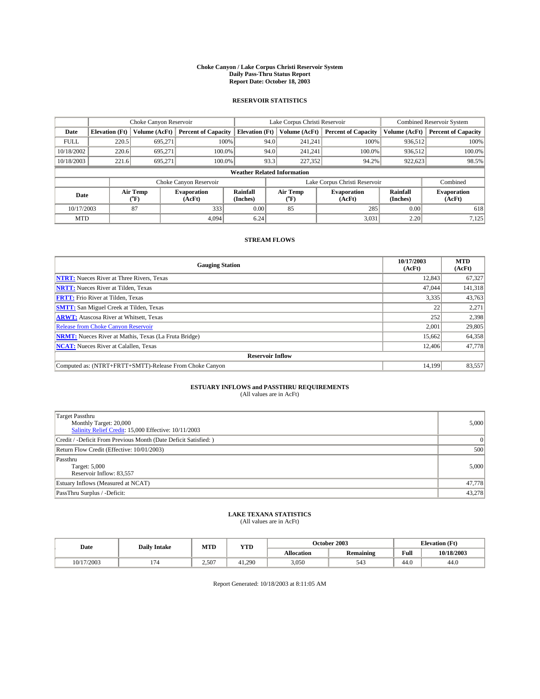#### **Choke Canyon / Lake Corpus Christi Reservoir System Daily Pass-Thru Status Report Report Date: October 18, 2003**

### **RESERVOIR STATISTICS**

|                                    | Choke Canyon Reservoir |                  | Lake Corpus Christi Reservoir |                             |      |                  | <b>Combined Reservoir System</b> |                      |                              |
|------------------------------------|------------------------|------------------|-------------------------------|-----------------------------|------|------------------|----------------------------------|----------------------|------------------------------|
| Date                               | <b>Elevation</b> (Ft)  | Volume (AcFt)    | <b>Percent of Capacity</b>    | <b>Elevation (Ft)</b>       |      | Volume (AcFt)    | <b>Percent of Capacity</b>       | Volume (AcFt)        | <b>Percent of Capacity</b>   |
| <b>FULL</b>                        | 220.5                  | 695,271          |                               | 100%                        | 94.0 | 241,241          | 100%                             | 936.512              | 100%                         |
| 10/18/2002                         | 220.6                  | 695.271          | $100.0\%$                     |                             | 94.0 | 241.241          | $100.0\%$                        | 936,512              | 100.0%                       |
| 10/18/2003                         | 221.6                  | 695.271          | 100.0%                        |                             | 93.3 | 227,352          | 94.2%                            | 922,623              | 98.5%                        |
| <b>Weather Related Information</b> |                        |                  |                               |                             |      |                  |                                  |                      |                              |
|                                    |                        |                  | Choke Canyon Reservoir        |                             |      |                  | Lake Corpus Christi Reservoir    |                      | Combined                     |
| Date                               |                        | Air Temp<br>(°F) | <b>Evaporation</b><br>(AcFt)  | <b>Rainfall</b><br>(Inches) |      | Air Temp<br>("F) | <b>Evaporation</b><br>(AcFt)     | Rainfall<br>(Inches) | <b>Evaporation</b><br>(AcFt) |
| 10/17/2003                         |                        | 87               | 333                           | 0.00                        |      | 85               | 285                              | 0.00                 | 618                          |
| <b>MTD</b>                         |                        |                  | 4.094                         | 6.24                        |      |                  | 3,031                            | 2.20                 | 7,125                        |

### **STREAM FLOWS**

| <b>Gauging Station</b>                                       | 10/17/2003<br>(AcFt) | <b>MTD</b><br>(AcFt) |
|--------------------------------------------------------------|----------------------|----------------------|
| <b>NTRT:</b> Nueces River at Three Rivers, Texas             | 12,843               | 67,327               |
| <b>NRTT:</b> Nueces River at Tilden, Texas                   | 47,044               | 141,318              |
| <b>FRTT:</b> Frio River at Tilden, Texas                     | 3,335                | 43,763               |
| <b>SMTT:</b> San Miguel Creek at Tilden, Texas               | 22                   | 2,271                |
| <b>ARWT:</b> Atascosa River at Whitsett, Texas               | 252                  | 2,398                |
| <b>Release from Choke Canyon Reservoir</b>                   | 2.001                | 29,805               |
| <b>NRMT:</b> Nueces River at Mathis, Texas (La Fruta Bridge) | 15,662               | 64,358               |
| <b>NCAT:</b> Nueces River at Calallen, Texas                 | 12,406               | 47,778               |
| <b>Reservoir Inflow</b>                                      |                      |                      |
| Computed as: (NTRT+FRTT+SMTT)-Release From Choke Canyon      | 14.199               | 83,557               |

# **ESTUARY INFLOWS and PASSTHRU REQUIREMENTS**<br>(All values are in AcFt)

| Target Passthru<br>Monthly Target: 20,000<br>Salinity Relief Credit: 15,000 Effective: 10/11/2003 | 5,000    |
|---------------------------------------------------------------------------------------------------|----------|
| Credit / -Deficit From Previous Month (Date Deficit Satisfied: )                                  | $\Omega$ |
| Return Flow Credit (Effective: 10/01/2003)                                                        | 500      |
| Passthru<br>Target: 5,000<br>Reservoir Inflow: 83,557                                             | 5,000    |
| Estuary Inflows (Measured at NCAT)                                                                | 47,778   |
| PassThru Surplus / -Deficit:                                                                      | 43,278   |

# **LAKE TEXANA STATISTICS** (All values are in AcFt)

| Date       | <b>Daily Intake</b>      | MTD   | <b>YTD</b> |                   | October 2003     | <b>Elevation (Ft)</b> |            |
|------------|--------------------------|-------|------------|-------------------|------------------|-----------------------|------------|
|            |                          |       |            | <b>Allocation</b> | <b>Remaining</b> | Full                  | 10/18/2003 |
| 10/17/2003 | $\overline{\phantom{0}}$ | 2.507 | 41.290     | 3,050             |                  | 44.V                  | 44.0       |

Report Generated: 10/18/2003 at 8:11:05 AM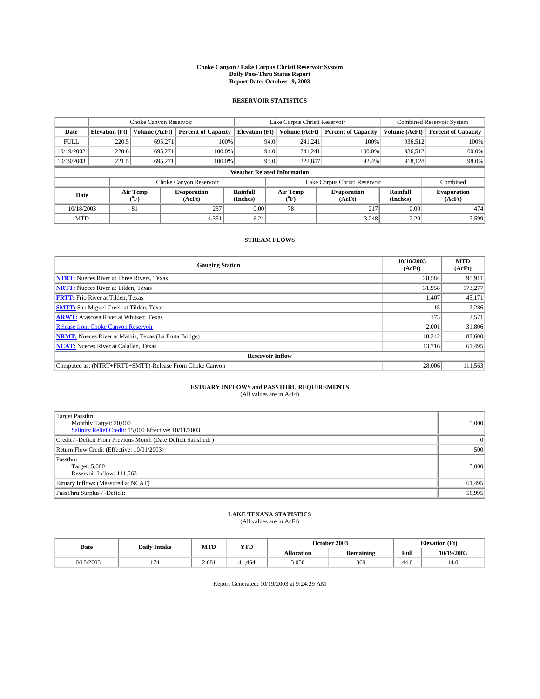#### **Choke Canyon / Lake Corpus Christi Reservoir System Daily Pass-Thru Status Report Report Date: October 19, 2003**

### **RESERVOIR STATISTICS**

|             | Choke Canyon Reservoir             |                             |                              |                             |      | Lake Corpus Christi Reservoir | <b>Combined Reservoir System</b> |                             |                              |  |
|-------------|------------------------------------|-----------------------------|------------------------------|-----------------------------|------|-------------------------------|----------------------------------|-----------------------------|------------------------------|--|
| Date        | <b>Elevation</b> (Ft)              | Volume (AcFt)               | <b>Percent of Capacity</b>   | <b>Elevation</b> (Ft)       |      | Volume (AcFt)                 | <b>Percent of Capacity</b>       | Volume (AcFt)               | <b>Percent of Capacity</b>   |  |
| <b>FULL</b> | 220.5                              | 695,271                     | 100%                         |                             | 94.0 | 241,241                       | 100%                             | 936.512                     | 100%                         |  |
| 10/19/2002  | 220.6                              | 695.271                     | $100.0\%$                    |                             | 94.0 | 241.241                       | $100.0\%$                        | 936.512                     | 100.0%                       |  |
| 10/19/2003  | 221.5                              | 695.271                     | 100.0%                       |                             | 93.0 | 222,857                       | 92.4%                            | 918,128                     | 98.0%                        |  |
|             | <b>Weather Related Information</b> |                             |                              |                             |      |                               |                                  |                             |                              |  |
|             |                                    |                             | Choke Canyon Reservoir       |                             |      |                               | Lake Corpus Christi Reservoir    |                             | Combined                     |  |
| Date        |                                    | Air Temp<br>${}^{\circ}$ F) | <b>Evaporation</b><br>(AcFt) | <b>Rainfall</b><br>(Inches) |      | Air Temp<br>("F)              | <b>Evaporation</b><br>(AcFt)     | <b>Rainfall</b><br>(Inches) | <b>Evaporation</b><br>(AcFt) |  |
| 10/18/2003  |                                    | 81                          | 257                          | 0.00                        |      | 78                            | 217                              | 0.00                        | 474                          |  |
| <b>MTD</b>  |                                    |                             | 4,351                        | 6.24                        |      |                               | 3,248                            | 2.20                        | 7,599                        |  |

### **STREAM FLOWS**

| <b>Gauging Station</b>                                       | 10/18/2003<br>(AcFt) | <b>MTD</b><br>(AcFt) |
|--------------------------------------------------------------|----------------------|----------------------|
| <b>NTRT:</b> Nueces River at Three Rivers, Texas             | 28.584               | 95,911               |
| <b>NRTT:</b> Nueces River at Tilden, Texas                   | 31.958               | 173,277              |
| <b>FRTT:</b> Frio River at Tilden, Texas                     | L,407                | 45,171               |
| <b>SMTT:</b> San Miguel Creek at Tilden, Texas               | 15                   | 2,286                |
| <b>ARWT:</b> Atascosa River at Whitsett, Texas               | 173                  | 2,571                |
| Release from Choke Canyon Reservoir                          | 2.001                | 31,806               |
| <b>NRMT:</b> Nueces River at Mathis, Texas (La Fruta Bridge) | 18.242               | 82,600               |
| <b>NCAT:</b> Nueces River at Calallen, Texas                 | 13,716               | 61,495               |
| <b>Reservoir Inflow</b>                                      |                      |                      |
| Computed as: (NTRT+FRTT+SMTT)-Release From Choke Canyon      | 28,006               | 111,563              |

# **ESTUARY INFLOWS and PASSTHRU REQUIREMENTS**<br>(All values are in AcFt)

| Target Passthru<br>Monthly Target: 20,000<br>Salinity Relief Credit: 15,000 Effective: 10/11/2003 | 5,000    |
|---------------------------------------------------------------------------------------------------|----------|
| Credit / -Deficit From Previous Month (Date Deficit Satisfied: )                                  | $\Omega$ |
| Return Flow Credit (Effective: 10/01/2003)                                                        | 500      |
| Passthru<br>Target: 5,000<br>Reservoir Inflow: 111,563                                            | 5,000    |
| Estuary Inflows (Measured at NCAT)                                                                | 61,495   |
| PassThru Surplus / -Deficit:                                                                      | 56,995   |

# **LAKE TEXANA STATISTICS** (All values are in AcFt)

| Date       | <b>Daily Intake</b> | MTD   | <b>YTD</b> |                   | October 2003     | <b>Elevation</b> (Ft) |            |
|------------|---------------------|-------|------------|-------------------|------------------|-----------------------|------------|
|            |                     |       |            | <b>Allocation</b> | <b>Remaining</b> | Full                  | 10/19/2003 |
| 10/18/2003 | $-$                 | 2.681 | 41.464     | 3,050             | 369              | $\sim$<br>44.U        | 44.0       |

Report Generated: 10/19/2003 at 9:24:29 AM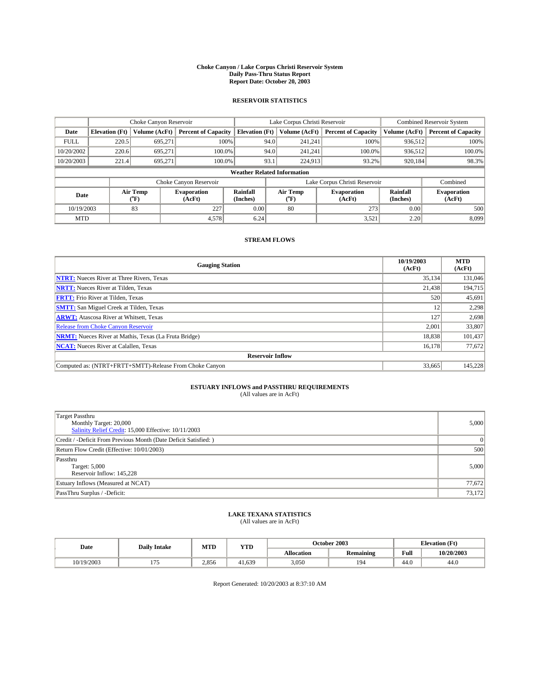#### **Choke Canyon / Lake Corpus Christi Reservoir System Daily Pass-Thru Status Report Report Date: October 20, 2003**

### **RESERVOIR STATISTICS**

|             | Choke Canyon Reservoir             |                             |                              |                             |      | Lake Corpus Christi Reservoir | <b>Combined Reservoir System</b> |                             |                              |  |
|-------------|------------------------------------|-----------------------------|------------------------------|-----------------------------|------|-------------------------------|----------------------------------|-----------------------------|------------------------------|--|
| Date        | <b>Elevation</b> (Ft)              | Volume (AcFt)               | <b>Percent of Capacity</b>   | <b>Elevation</b> (Ft)       |      | Volume (AcFt)                 | <b>Percent of Capacity</b>       | Volume (AcFt)               | <b>Percent of Capacity</b>   |  |
| <b>FULL</b> | 220.5                              | 695,271                     |                              | 100%                        | 94.0 | 241,241                       | 100%                             | 936.512                     | 100%                         |  |
| 10/20/2002  | 220.6                              | 695.271                     | $100.0\%$                    |                             | 94.0 | 241.241                       | $100.0\%$                        | 936.512                     | 100.0%                       |  |
| 10/20/2003  | 221.4                              | 695.271                     | 100.0%                       |                             | 93.1 | 224,913                       | 93.2%                            | 920,184                     | 98.3%                        |  |
|             | <b>Weather Related Information</b> |                             |                              |                             |      |                               |                                  |                             |                              |  |
|             |                                    |                             | Choke Canyon Reservoir       |                             |      |                               | Lake Corpus Christi Reservoir    |                             | Combined                     |  |
| Date        |                                    | Air Temp<br>${}^{\circ}$ F) | <b>Evaporation</b><br>(AcFt) | <b>Rainfall</b><br>(Inches) |      | Air Temp<br>("F)              | <b>Evaporation</b><br>(AcFt)     | <b>Rainfall</b><br>(Inches) | <b>Evaporation</b><br>(AcFt) |  |
| 10/19/2003  |                                    | 83                          | 227                          | 0.00                        |      | 80                            | 273                              | 0.00                        | 500                          |  |
| <b>MTD</b>  |                                    |                             | 4,578                        | 6.24                        |      |                               | 3,521                            | 2.20                        | 8,099                        |  |

### **STREAM FLOWS**

| <b>Gauging Station</b>                                       | 10/19/2003<br>(AcFt) | <b>MTD</b><br>(AcFt) |
|--------------------------------------------------------------|----------------------|----------------------|
| <b>NTRT:</b> Nueces River at Three Rivers, Texas             | 35.134               | 131,046              |
| <b>NRTT:</b> Nueces River at Tilden, Texas                   | 21,438               | 194,715              |
| <b>FRTT:</b> Frio River at Tilden, Texas                     | 520                  | 45,691               |
| <b>SMTT:</b> San Miguel Creek at Tilden, Texas               | 12                   | 2,298                |
| <b>ARWT:</b> Atascosa River at Whitsett, Texas               | 127                  | 2,698                |
| Release from Choke Canyon Reservoir                          | 2,001                | 33,807               |
| <b>NRMT:</b> Nueces River at Mathis, Texas (La Fruta Bridge) | 18.838               | 101.437              |
| <b>NCAT:</b> Nueces River at Calallen, Texas                 | 16,178               | 77,672               |
| <b>Reservoir Inflow</b>                                      |                      |                      |
| Computed as: (NTRT+FRTT+SMTT)-Release From Choke Canyon      | 33,665               | 145,228              |

# **ESTUARY INFLOWS and PASSTHRU REQUIREMENTS**<br>(All values are in AcFt)

| Target Passthru<br>Monthly Target: 20,000<br>Salinity Relief Credit: 15,000 Effective: 10/11/2003 | 5,000    |
|---------------------------------------------------------------------------------------------------|----------|
| Credit / -Deficit From Previous Month (Date Deficit Satisfied: )                                  | $\Omega$ |
| Return Flow Credit (Effective: 10/01/2003)                                                        | 500      |
| Passthru<br>Target: 5,000<br>Reservoir Inflow: 145,228                                            | 5,000    |
| Estuary Inflows (Measured at NCAT)                                                                | 77,672   |
| PassThru Surplus / -Deficit:                                                                      | 73,172   |

# **LAKE TEXANA STATISTICS** (All values are in AcFt)

| Date       | <b>Daily Intake</b> | MTD   | <b>YTD</b> |                   | October 2003     |                | <b>Elevation</b> (Ft) |  |
|------------|---------------------|-------|------------|-------------------|------------------|----------------|-----------------------|--|
|            |                     |       |            | <b>Allocation</b> | <b>Remaining</b> | Full           | 10/20/2003            |  |
| 10/19/2003 | .<br>111            | 2,856 | 41.639     | 3,050             | 194              | $\sim$<br>44.U | 44.0                  |  |

Report Generated: 10/20/2003 at 8:37:10 AM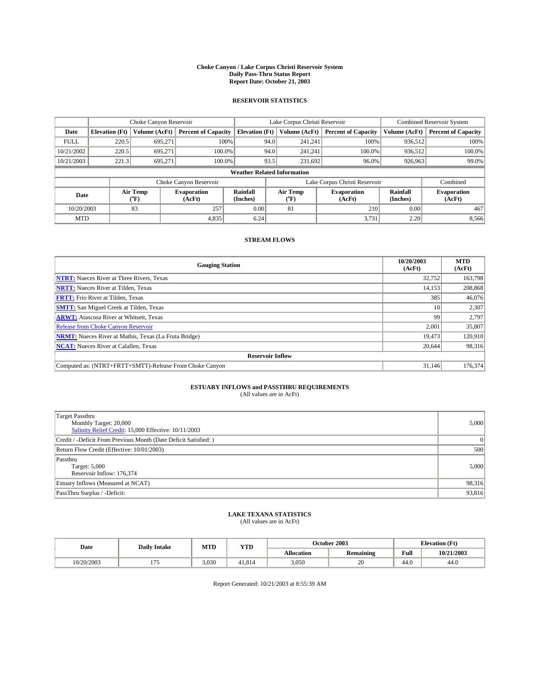#### **Choke Canyon / Lake Corpus Christi Reservoir System Daily Pass-Thru Status Report Report Date: October 21, 2003**

### **RESERVOIR STATISTICS**

|             | Choke Canyon Reservoir             |                  | Lake Corpus Christi Reservoir |                             |      |                  | <b>Combined Reservoir System</b> |                      |                              |  |
|-------------|------------------------------------|------------------|-------------------------------|-----------------------------|------|------------------|----------------------------------|----------------------|------------------------------|--|
| Date        | <b>Elevation</b> (Ft)              | Volume (AcFt)    | <b>Percent of Capacity</b>    | <b>Elevation (Ft)</b>       |      | Volume (AcFt)    | <b>Percent of Capacity</b>       | Volume (AcFt)        | <b>Percent of Capacity</b>   |  |
| <b>FULL</b> | 220.5                              | 695,271          |                               | 100%                        | 94.0 | 241,241          | 100%                             | 936.512              | 100%                         |  |
| 10/21/2002  | 220.5                              | 695.271          | $100.0\%$                     |                             | 94.0 | 241.241          | $100.0\%$                        | 936.512              | 100.0%                       |  |
| 10/21/2003  | 221.3                              | 695.271          | 100.0%                        |                             | 93.5 | 231,692          | $96.0\%$                         | 926,963              | 99.0%                        |  |
|             | <b>Weather Related Information</b> |                  |                               |                             |      |                  |                                  |                      |                              |  |
|             |                                    |                  | Choke Canyon Reservoir        |                             |      |                  | Lake Corpus Christi Reservoir    |                      | Combined                     |  |
| Date        |                                    | Air Temp<br>(°F) | <b>Evaporation</b><br>(AcFt)  | <b>Rainfall</b><br>(Inches) |      | Air Temp<br>("F) | <b>Evaporation</b><br>(AcFt)     | Rainfall<br>(Inches) | <b>Evaporation</b><br>(AcFt) |  |
| 10/20/2003  |                                    | 83               | 257                           | 0.00                        |      | 81               | 210                              | 0.00                 | 467                          |  |
| <b>MTD</b>  |                                    |                  | 4,835                         | 6.24                        |      |                  | 3,731                            | 2.20                 | 8,566                        |  |

### **STREAM FLOWS**

| <b>Gauging Station</b>                                       | 10/20/2003<br>(AcFt) | <b>MTD</b><br>(AcFt) |
|--------------------------------------------------------------|----------------------|----------------------|
| <b>NTRT:</b> Nueces River at Three Rivers, Texas             | 32,752               | 163,798              |
| <b>NRTT:</b> Nueces River at Tilden, Texas                   | 14.153               | 208,868              |
| <b>FRTT:</b> Frio River at Tilden, Texas                     | 385                  | 46,076               |
| <b>SMTT:</b> San Miguel Creek at Tilden, Texas               | 10                   | 2.307                |
| <b>ARWT:</b> Atascosa River at Whitsett, Texas               | 99                   | 2,797                |
| Release from Choke Canyon Reservoir                          | 2.001                | 35,807               |
| <b>NRMT:</b> Nueces River at Mathis, Texas (La Fruta Bridge) | 19,473               | 120,910              |
| <b>NCAT:</b> Nueces River at Calallen, Texas                 | 20,644               | 98,316               |
| <b>Reservoir Inflow</b>                                      |                      |                      |
| Computed as: (NTRT+FRTT+SMTT)-Release From Choke Canyon      | 31.146               | 176,374              |

# **ESTUARY INFLOWS and PASSTHRU REQUIREMENTS**<br>(All values are in AcFt)

| Target Passthru<br>Monthly Target: 20,000<br>Salinity Relief Credit: 15,000 Effective: 10/11/2003 | 5,000    |
|---------------------------------------------------------------------------------------------------|----------|
| Credit / -Deficit From Previous Month (Date Deficit Satisfied: )                                  | $\Omega$ |
| Return Flow Credit (Effective: 10/01/2003)                                                        | 500      |
| Passthru<br>Target: 5,000<br>Reservoir Inflow: 176,374                                            | 5,000    |
| Estuary Inflows (Measured at NCAT)                                                                | 98,316   |
| PassThru Surplus / -Deficit:                                                                      | 93,816   |

# **LAKE TEXANA STATISTICS** (All values are in AcFt)

| Date       | <b>Daily Intake</b> | MTD   | <b>YTD</b> |                   | October 2003     | <b>Elevation (Ft)</b> |            |
|------------|---------------------|-------|------------|-------------------|------------------|-----------------------|------------|
|            |                     |       |            | <b>Allocation</b> | <b>Remaining</b> | Full                  | 10/21/2003 |
| 10/20/2003 |                     | 3.030 | 41.814     | 3,050             | 20               | 44.V                  | 44.0       |

Report Generated: 10/21/2003 at 8:55:39 AM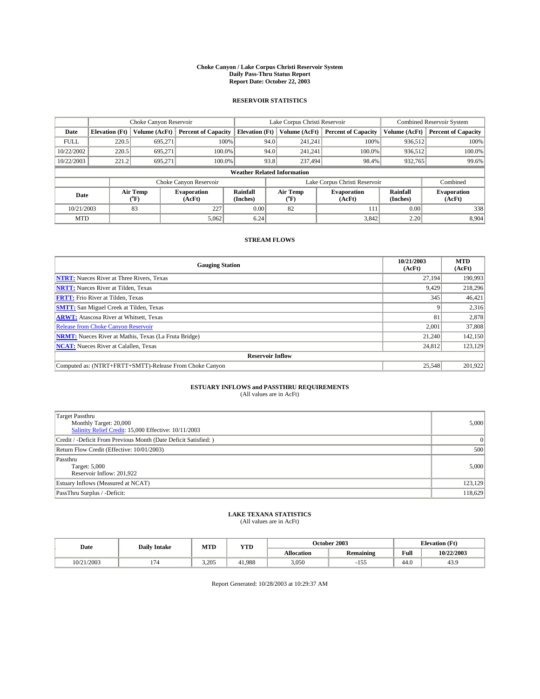#### **Choke Canyon / Lake Corpus Christi Reservoir System Daily Pass-Thru Status Report Report Date: October 22, 2003**

### **RESERVOIR STATISTICS**

|             | Choke Canyon Reservoir             |                             | Lake Corpus Christi Reservoir |                             |      |                  | <b>Combined Reservoir System</b> |                             |                              |  |
|-------------|------------------------------------|-----------------------------|-------------------------------|-----------------------------|------|------------------|----------------------------------|-----------------------------|------------------------------|--|
| Date        | <b>Elevation</b> (Ft)              | Volume (AcFt)               | <b>Percent of Capacity</b>    | <b>Elevation</b> (Ft)       |      | Volume (AcFt)    | <b>Percent of Capacity</b>       | Volume (AcFt)               | <b>Percent of Capacity</b>   |  |
| <b>FULL</b> | 220.5                              | 695,271                     |                               | 100%                        | 94.0 | 241,241          | 100%                             | 936.512                     | 100%                         |  |
| 10/22/2002  | 220.5                              | 695.271                     | $100.0\%$                     |                             | 94.0 | 241.241          | $100.0\%$                        | 936.512                     | 100.0%                       |  |
| 10/22/2003  | 221.2                              | 695.271                     | 100.0%                        |                             | 93.8 | 237,494          | 98.4%                            | 932,765                     | 99.6%                        |  |
|             | <b>Weather Related Information</b> |                             |                               |                             |      |                  |                                  |                             |                              |  |
|             |                                    |                             | Choke Canyon Reservoir        |                             |      |                  | Lake Corpus Christi Reservoir    |                             | Combined                     |  |
| Date        |                                    | Air Temp<br>${}^{\circ}$ F) | <b>Evaporation</b><br>(AcFt)  | <b>Rainfall</b><br>(Inches) |      | Air Temp<br>("F) | <b>Evaporation</b><br>(AcFt)     | <b>Rainfall</b><br>(Inches) | <b>Evaporation</b><br>(AcFt) |  |
| 10/21/2003  |                                    | 83                          | 227                           | 0.00                        |      | 82               | 111                              | 0.00                        | 338                          |  |
| <b>MTD</b>  |                                    |                             | 5,062                         | 6.24                        |      |                  | 3,842                            | 2.20                        | 8,904                        |  |

### **STREAM FLOWS**

| <b>Gauging Station</b>                                       | 10/21/2003<br>(AcFt) | <b>MTD</b><br>(AcFt) |  |  |  |  |  |  |
|--------------------------------------------------------------|----------------------|----------------------|--|--|--|--|--|--|
| <b>NTRT:</b> Nueces River at Three Rivers, Texas             | 27,194               | 190.993              |  |  |  |  |  |  |
| <b>NRTT:</b> Nueces River at Tilden, Texas                   | 9.429                | 218,296              |  |  |  |  |  |  |
| <b>FRTT:</b> Frio River at Tilden, Texas                     | 345                  | 46,421               |  |  |  |  |  |  |
| <b>SMTT:</b> San Miguel Creek at Tilden, Texas               |                      | 2,316                |  |  |  |  |  |  |
| <b>ARWT:</b> Atascosa River at Whitsett, Texas               | 81                   | 2,878                |  |  |  |  |  |  |
| Release from Choke Canyon Reservoir                          | 2,001                | 37,808               |  |  |  |  |  |  |
| <b>NRMT:</b> Nueces River at Mathis, Texas (La Fruta Bridge) | 21,240               | 142,150              |  |  |  |  |  |  |
| <b>NCAT:</b> Nueces River at Calallen, Texas                 | 24,812               | 123,129              |  |  |  |  |  |  |
| <b>Reservoir Inflow</b>                                      |                      |                      |  |  |  |  |  |  |
| Computed as: (NTRT+FRTT+SMTT)-Release From Choke Canyon      | 25,548               | 201,922              |  |  |  |  |  |  |

# **ESTUARY INFLOWS and PASSTHRU REQUIREMENTS**<br>(All values are in AcFt)

| Target Passthru<br>Monthly Target: 20,000<br>Salinity Relief Credit: 15,000 Effective: 10/11/2003 | 5,000    |
|---------------------------------------------------------------------------------------------------|----------|
| Credit / -Deficit From Previous Month (Date Deficit Satisfied: )                                  | $\Omega$ |
| Return Flow Credit (Effective: 10/01/2003)                                                        | 500      |
| Passthru<br>Target: 5,000<br>Reservoir Inflow: 201,922                                            | 5,000    |
| Estuary Inflows (Measured at NCAT)                                                                | 123,129  |
| PassThru Surplus / -Deficit:                                                                      | 118,629  |

# **LAKE TEXANA STATISTICS** (All values are in AcFt)

| Date       | <b>Daily Intake</b> | MTD   | YTD    |                   | October 2003        | <b>Elevation</b> (Ft) |            |
|------------|---------------------|-------|--------|-------------------|---------------------|-----------------------|------------|
|            |                     |       |        | <b>Allocation</b> | <b>Remaining</b>    | Full                  | 10/22/2003 |
| 10/21/2003 | - 11<br>. .         | 3.205 | 41.988 | 3,050             | - - -<br>. .<br>-17 | $\sim$<br>44.V        | 43.9       |

Report Generated: 10/28/2003 at 10:29:37 AM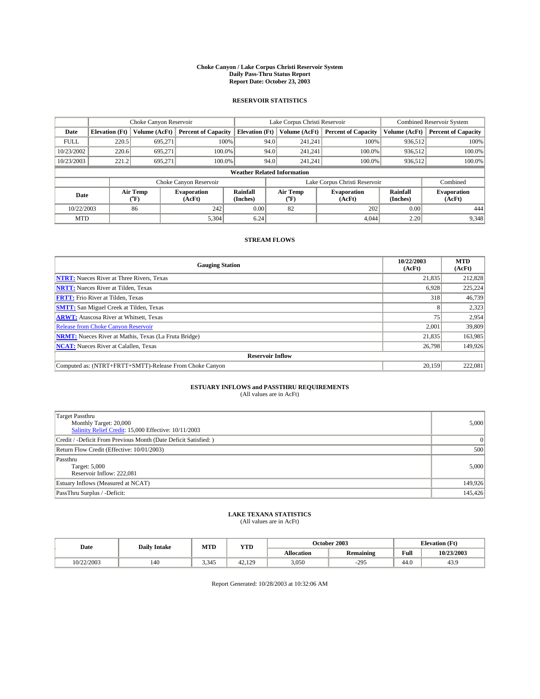#### **Choke Canyon / Lake Corpus Christi Reservoir System Daily Pass-Thru Status Report Report Date: October 23, 2003**

### **RESERVOIR STATISTICS**

|                                    | Choke Canyon Reservoir |                  |                              | Lake Corpus Christi Reservoir | <b>Combined Reservoir System</b> |                  |                               |                             |                              |
|------------------------------------|------------------------|------------------|------------------------------|-------------------------------|----------------------------------|------------------|-------------------------------|-----------------------------|------------------------------|
| Date                               | <b>Elevation</b> (Ft)  | Volume (AcFt)    | <b>Percent of Capacity</b>   | <b>Elevation</b> (Ft)         |                                  | Volume (AcFt)    | <b>Percent of Capacity</b>    | Volume (AcFt)               | <b>Percent of Capacity</b>   |
| <b>FULL</b>                        | 220.5                  | 695,271          | 100%                         |                               | 94.0                             | 241,241          | 100%                          | 936.512                     | 100%                         |
| 10/23/2002                         | 220.6                  | 695.271          | $100.0\%$                    |                               | 94.0                             | 241.241          | $100.0\%$                     | 936.512                     | 100.0%                       |
| 10/23/2003                         | 221.2                  | 695.271          | 100.0%                       |                               | 94.0                             | 241.241          | $100.0\%$                     | 936,512                     | 100.0%                       |
| <b>Weather Related Information</b> |                        |                  |                              |                               |                                  |                  |                               |                             |                              |
|                                    |                        |                  | Choke Canyon Reservoir       |                               |                                  |                  | Lake Corpus Christi Reservoir |                             | Combined                     |
| Date                               |                        | Air Temp<br>(°F) | <b>Evaporation</b><br>(AcFt) | <b>Rainfall</b><br>(Inches)   |                                  | Air Temp<br>("F) | <b>Evaporation</b><br>(AcFt)  | <b>Rainfall</b><br>(Inches) | <b>Evaporation</b><br>(AcFt) |
| 10/22/2003                         |                        | 86               | 242                          | 0.00                          |                                  | 82               | 202                           | 0.00                        | 444                          |
| <b>MTD</b>                         |                        |                  | 5,304                        | 6.24                          |                                  |                  | 4.044                         | 2.20                        | 9,348                        |

### **STREAM FLOWS**

| <b>Gauging Station</b>                                       | 10/22/2003<br>(AcFt) | <b>MTD</b><br>(AcFt) |
|--------------------------------------------------------------|----------------------|----------------------|
| <b>NTRT:</b> Nueces River at Three Rivers, Texas             | 21,835               | 212,828              |
| <b>NRTT:</b> Nueces River at Tilden, Texas                   | 6.928                | 225.224              |
| <b>FRTT:</b> Frio River at Tilden, Texas                     | 318                  | 46,739               |
| <b>SMTT:</b> San Miguel Creek at Tilden, Texas               | 8                    | 2,323                |
| <b>ARWT:</b> Atascosa River at Whitsett, Texas               | 75                   | 2,954                |
| <b>Release from Choke Canyon Reservoir</b>                   | 2,001                | 39,809               |
| <b>NRMT:</b> Nueces River at Mathis, Texas (La Fruta Bridge) | 21.835               | 163.985              |
| <b>NCAT:</b> Nueces River at Calallen, Texas                 | 26,798               | 149,926              |
| <b>Reservoir Inflow</b>                                      |                      |                      |
| Computed as: (NTRT+FRTT+SMTT)-Release From Choke Canyon      | 20.159               | 222,081              |

# **ESTUARY INFLOWS and PASSTHRU REQUIREMENTS**<br>(All values are in AcFt)

| Target Passthru<br>Monthly Target: 20,000<br>Salinity Relief Credit: 15,000 Effective: 10/11/2003 | 5,000    |
|---------------------------------------------------------------------------------------------------|----------|
| Credit / -Deficit From Previous Month (Date Deficit Satisfied: )                                  | $\Omega$ |
| Return Flow Credit (Effective: 10/01/2003)                                                        | 500      |
| Passthru<br>Target: 5,000<br>Reservoir Inflow: 222,081                                            | 5,000    |
| Estuary Inflows (Measured at NCAT)                                                                | 149,926  |
| PassThru Surplus / -Deficit:                                                                      | 145,426  |

# **LAKE TEXANA STATISTICS** (All values are in AcFt)

| Date       | <b>Daily Intake</b> | MTD   | <b>YTD</b> |                   | October 2003     | <b>Elevation (Ft)</b>      |            |
|------------|---------------------|-------|------------|-------------------|------------------|----------------------------|------------|
|            |                     |       |            | <b>Allocation</b> | <b>Remaining</b> | Full                       | 10/23/2003 |
| 10/22/2003 | 140                 | 3,345 | 42.129     | 3,050             | $-295$           | $\sim$<br>44. <sub>V</sub> | 43.9       |

Report Generated: 10/28/2003 at 10:32:06 AM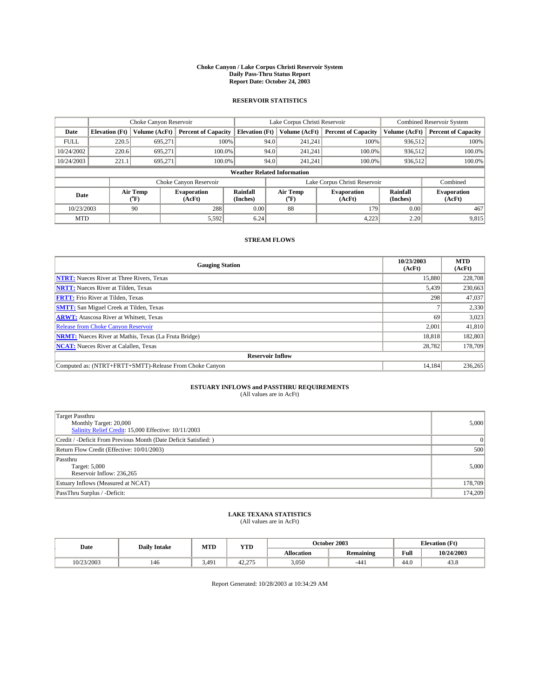#### **Choke Canyon / Lake Corpus Christi Reservoir System Daily Pass-Thru Status Report Report Date: October 24, 2003**

### **RESERVOIR STATISTICS**

|                                    | Choke Canyon Reservoir |                             |                              | Lake Corpus Christi Reservoir | <b>Combined Reservoir System</b> |                  |                               |                      |                              |
|------------------------------------|------------------------|-----------------------------|------------------------------|-------------------------------|----------------------------------|------------------|-------------------------------|----------------------|------------------------------|
| Date                               | <b>Elevation</b> (Ft)  | Volume (AcFt)               | <b>Percent of Capacity</b>   | <b>Elevation</b> (Ft)         |                                  | Volume (AcFt)    | <b>Percent of Capacity</b>    | Volume (AcFt)        | <b>Percent of Capacity</b>   |
| <b>FULL</b>                        | 220.5                  | 695,271                     |                              | 100%                          | 94.0                             | 241,241          | 100%                          | 936.512              | 100%                         |
| 10/24/2002                         | 220.6                  | 695.271                     | $100.0\%$                    |                               | 94.0                             | 241.241          | $100.0\%$                     | 936.512              | 100.0%                       |
| 10/24/2003                         | 221.1                  | 695.271                     | 100.0%                       |                               | 94.0                             | 241.241          | $100.0\%$                     | 936,512              | 100.0%                       |
| <b>Weather Related Information</b> |                        |                             |                              |                               |                                  |                  |                               |                      |                              |
|                                    |                        |                             | Choke Canyon Reservoir       |                               |                                  |                  | Lake Corpus Christi Reservoir |                      | Combined                     |
| Date                               |                        | Air Temp<br>${}^{\circ}$ F) | <b>Evaporation</b><br>(AcFt) | <b>Rainfall</b><br>(Inches)   |                                  | Air Temp<br>("F) | <b>Evaporation</b><br>(AcFt)  | Rainfall<br>(Inches) | <b>Evaporation</b><br>(AcFt) |
| 10/23/2003                         |                        | 90                          | 288                          | 0.00                          |                                  | 88               | 179                           | 0.00                 | 467                          |
| <b>MTD</b>                         |                        |                             | 5,592                        | 6.24                          |                                  |                  | 4,223                         | 2.20                 | 9,815                        |

### **STREAM FLOWS**

| <b>Gauging Station</b>                                       | 10/23/2003<br>(AcFt) | <b>MTD</b><br>(AcFt) |  |  |  |  |  |  |
|--------------------------------------------------------------|----------------------|----------------------|--|--|--|--|--|--|
| <b>NTRT:</b> Nueces River at Three Rivers, Texas             | 15,880               | 228,708              |  |  |  |  |  |  |
| <b>NRTT:</b> Nueces River at Tilden, Texas                   | 5,439                | 230,663              |  |  |  |  |  |  |
| <b>FRTT:</b> Frio River at Tilden, Texas                     | 298                  | 47,037               |  |  |  |  |  |  |
| <b>SMTT:</b> San Miguel Creek at Tilden, Texas               |                      | 2,330                |  |  |  |  |  |  |
| <b>ARWT:</b> Atascosa River at Whitsett, Texas               | 69                   | 3,023                |  |  |  |  |  |  |
| Release from Choke Canyon Reservoir                          | 2.001                | 41,810               |  |  |  |  |  |  |
| <b>NRMT:</b> Nueces River at Mathis, Texas (La Fruta Bridge) | 18.818               | 182,803              |  |  |  |  |  |  |
| <b>NCAT:</b> Nueces River at Calallen, Texas                 | 28,782               | 178,709              |  |  |  |  |  |  |
| <b>Reservoir Inflow</b>                                      |                      |                      |  |  |  |  |  |  |
| Computed as: (NTRT+FRTT+SMTT)-Release From Choke Canyon      | 14.184               | 236,265              |  |  |  |  |  |  |

# **ESTUARY INFLOWS and PASSTHRU REQUIREMENTS**<br>(All values are in AcFt)

| Target Passthru<br>Monthly Target: 20,000<br>Salinity Relief Credit: 15,000 Effective: 10/11/2003 | 5,000   |
|---------------------------------------------------------------------------------------------------|---------|
| Credit / -Deficit From Previous Month (Date Deficit Satisfied: )                                  | 0       |
| Return Flow Credit (Effective: 10/01/2003)                                                        | 500     |
| Passthru<br>Target: 5,000<br>Reservoir Inflow: 236,265                                            | 5,000   |
| Estuary Inflows (Measured at NCAT)                                                                | 178,709 |
| PassThru Surplus / -Deficit:                                                                      | 174,209 |

# **LAKE TEXANA STATISTICS** (All values are in AcFt)

| Date       | <b>Daily Intake</b> | MTD   | YTD                            | October 2003      |           | <b>Elevation</b> (Ft) |            |
|------------|---------------------|-------|--------------------------------|-------------------|-----------|-----------------------|------------|
|            |                     |       |                                | <b>Allocation</b> | Remaining | Full                  | 10/24/2003 |
| 10/23/2003 | 146                 | 3,491 | $\sim$ $\sim$ $\sim$<br>+2.215 | 3,050             | $-441$    | $\sim$<br>44.U        | 45.8       |

Report Generated: 10/28/2003 at 10:34:29 AM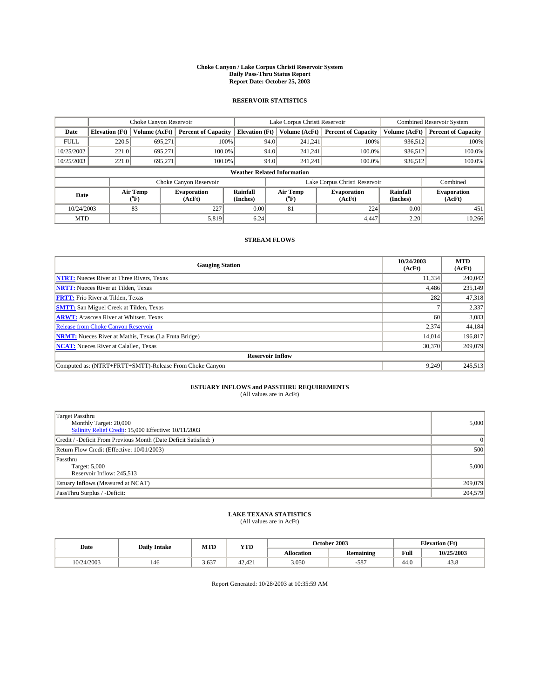#### **Choke Canyon / Lake Corpus Christi Reservoir System Daily Pass-Thru Status Report Report Date: October 25, 2003**

### **RESERVOIR STATISTICS**

|             | Choke Canyon Reservoir             |                  | Lake Corpus Christi Reservoir |                             |      |                  | <b>Combined Reservoir System</b> |                      |                              |  |
|-------------|------------------------------------|------------------|-------------------------------|-----------------------------|------|------------------|----------------------------------|----------------------|------------------------------|--|
| Date        | <b>Elevation</b> (Ft)              | Volume (AcFt)    | <b>Percent of Capacity</b>    | <b>Elevation (Ft)</b>       |      | Volume (AcFt)    | <b>Percent of Capacity</b>       | Volume (AcFt)        | <b>Percent of Capacity</b>   |  |
| <b>FULL</b> | 220.5                              | 695,271          |                               | 100%                        | 94.0 | 241,241          | 100%                             | 936.512              | 100%                         |  |
| 10/25/2002  | 221.0                              | 695.271          | $100.0\%$                     |                             | 94.0 | 241.241          | $100.0\%$                        | 936.512              | 100.0%                       |  |
| 10/25/2003  | 221.0                              | 695.271          | 100.0%                        |                             | 94.0 | 241.241          | $100.0\%$                        | 936,512              | 100.0%                       |  |
|             | <b>Weather Related Information</b> |                  |                               |                             |      |                  |                                  |                      |                              |  |
|             |                                    |                  | Choke Canyon Reservoir        |                             |      |                  | Lake Corpus Christi Reservoir    |                      | Combined                     |  |
| Date        |                                    | Air Temp<br>(°F) | <b>Evaporation</b><br>(AcFt)  | <b>Rainfall</b><br>(Inches) |      | Air Temp<br>("F) | <b>Evaporation</b><br>(AcFt)     | Rainfall<br>(Inches) | <b>Evaporation</b><br>(AcFt) |  |
| 10/24/2003  |                                    | 83               | 227                           | 0.00                        |      | 81               | 224                              | 0.00                 | 451                          |  |
| <b>MTD</b>  |                                    |                  | 5,819                         | 6.24                        |      |                  | 4.447                            | 2.20                 | 10,266                       |  |

### **STREAM FLOWS**

| <b>Gauging Station</b>                                       | 10/24/2003<br>(AcFt) | <b>MTD</b><br>(AcFt) |
|--------------------------------------------------------------|----------------------|----------------------|
| <b>NTRT:</b> Nueces River at Three Rivers, Texas             | 11.334               | 240,042              |
| <b>NRTT:</b> Nueces River at Tilden, Texas                   | 4.486                | 235,149              |
| <b>FRTT:</b> Frio River at Tilden, Texas                     | 282                  | 47,318               |
| <b>SMTT:</b> San Miguel Creek at Tilden, Texas               |                      | 2,337                |
| <b>ARWT:</b> Atascosa River at Whitsett, Texas               | 60                   | 3,083                |
| Release from Choke Canyon Reservoir                          | 2,374                | 44,184               |
| <b>NRMT:</b> Nueces River at Mathis, Texas (La Fruta Bridge) | 14.014               | 196,817              |
| <b>NCAT:</b> Nueces River at Calallen, Texas                 | 30,370               | 209,079              |
| <b>Reservoir Inflow</b>                                      |                      |                      |
| Computed as: (NTRT+FRTT+SMTT)-Release From Choke Canyon      | 9.249                | 245,513              |

# **ESTUARY INFLOWS and PASSTHRU REQUIREMENTS**<br>(All values are in AcFt)

| Target Passthru<br>Monthly Target: 20,000<br>Salinity Relief Credit: 15,000 Effective: 10/11/2003 | 5,000   |
|---------------------------------------------------------------------------------------------------|---------|
| Credit / -Deficit From Previous Month (Date Deficit Satisfied: )                                  | 0       |
| Return Flow Credit (Effective: 10/01/2003)                                                        | 500     |
| Passthru<br>Target: 5,000<br>Reservoir Inflow: 245,513                                            | 5,000   |
| Estuary Inflows (Measured at NCAT)                                                                | 209,079 |
| PassThru Surplus / -Deficit:                                                                      | 204,579 |

# **LAKE TEXANA STATISTICS** (All values are in AcFt)

| Date       | <b>Daily Intake</b> | MTD   | YTD              |                   | October 2003     | <b>Elevation</b> (Ft) |            |
|------------|---------------------|-------|------------------|-------------------|------------------|-----------------------|------------|
|            |                     |       |                  | <b>Allocation</b> | <b>Remaining</b> | Full                  | 10/25/2003 |
| 10/24/2003 | 146                 | 3,637 | 12.121<br>42.421 | 3,050             | $-587$           | 44.0                  | 43.8       |

Report Generated: 10/28/2003 at 10:35:59 AM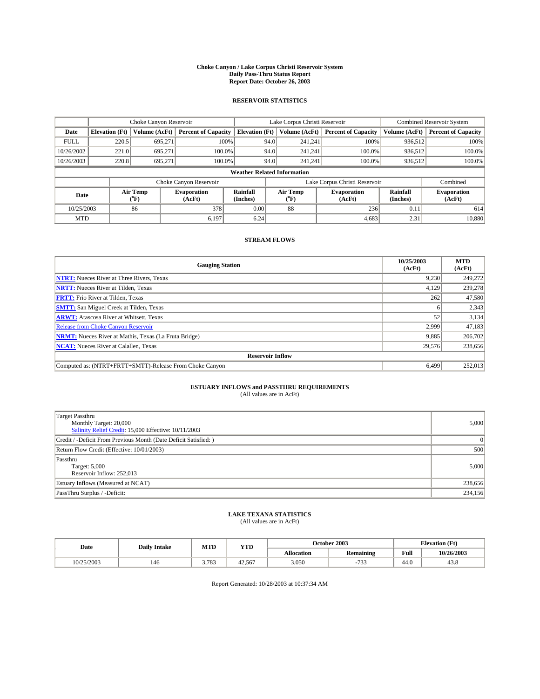#### **Choke Canyon / Lake Corpus Christi Reservoir System Daily Pass-Thru Status Report Report Date: October 26, 2003**

### **RESERVOIR STATISTICS**

|                                    | Choke Canyon Reservoir |                  | Lake Corpus Christi Reservoir |                             |      |                  | <b>Combined Reservoir System</b> |                      |                              |
|------------------------------------|------------------------|------------------|-------------------------------|-----------------------------|------|------------------|----------------------------------|----------------------|------------------------------|
| Date                               | <b>Elevation</b> (Ft)  | Volume (AcFt)    | <b>Percent of Capacity</b>    | <b>Elevation (Ft)</b>       |      | Volume (AcFt)    | <b>Percent of Capacity</b>       | Volume (AcFt)        | <b>Percent of Capacity</b>   |
| <b>FULL</b>                        | 220.5                  | 695,271          |                               | 100%                        | 94.0 | 241,241          | 100%                             | 936.512              | 100%                         |
| 10/26/2002                         | 221.0                  | 695.271          | $100.0\%$                     |                             | 94.0 | 241.241          | $100.0\%$                        | 936.512              | 100.0%                       |
| 10/26/2003                         | 220.8                  | 695.271          | 100.0%                        |                             | 94.0 | 241.241          | $100.0\%$                        | 936,512              | 100.0%                       |
| <b>Weather Related Information</b> |                        |                  |                               |                             |      |                  |                                  |                      |                              |
|                                    |                        |                  | Choke Canyon Reservoir        |                             |      |                  | Lake Corpus Christi Reservoir    |                      | Combined                     |
| Date                               |                        | Air Temp<br>(°F) | <b>Evaporation</b><br>(AcFt)  | <b>Rainfall</b><br>(Inches) |      | Air Temp<br>("F) | <b>Evaporation</b><br>(AcFt)     | Rainfall<br>(Inches) | <b>Evaporation</b><br>(AcFt) |
| 10/25/2003                         |                        | 86               | 378                           | 0.00                        |      | 88               | 236                              | 0.11                 | 614                          |
| <b>MTD</b>                         |                        |                  | 6,197                         | 6.24                        |      |                  | 4,683                            | 2.31                 | 10,880                       |

### **STREAM FLOWS**

| <b>Gauging Station</b>                                       | 10/25/2003<br>(AcFt) | <b>MTD</b><br>(AcFt) |
|--------------------------------------------------------------|----------------------|----------------------|
| <b>NTRT:</b> Nueces River at Three Rivers, Texas             | 9.230                | 249,272              |
| <b>NRTT:</b> Nueces River at Tilden, Texas                   | 4.129                | 239,278              |
| <b>FRTT:</b> Frio River at Tilden, Texas                     | 262                  | 47,580               |
| <b>SMTT:</b> San Miguel Creek at Tilden, Texas               | 6                    | 2,343                |
| <b>ARWT:</b> Atascosa River at Whitsett, Texas               | 52                   | 3,134                |
| <b>Release from Choke Canyon Reservoir</b>                   | 2,999                | 47,183               |
| <b>NRMT:</b> Nueces River at Mathis, Texas (La Fruta Bridge) | 9,885                | 206,702              |
| <b>NCAT:</b> Nueces River at Calallen, Texas                 | 29,576               | 238,656              |
| <b>Reservoir Inflow</b>                                      |                      |                      |
| Computed as: (NTRT+FRTT+SMTT)-Release From Choke Canyon      | 6.499                | 252,013              |

# **ESTUARY INFLOWS and PASSTHRU REQUIREMENTS**<br>(All values are in AcFt)

| Target Passthru<br>Monthly Target: 20,000<br>Salinity Relief Credit: 15,000 Effective: 10/11/2003 | 5,000    |
|---------------------------------------------------------------------------------------------------|----------|
| Credit / -Deficit From Previous Month (Date Deficit Satisfied: )                                  | $\Omega$ |
| Return Flow Credit (Effective: 10/01/2003)                                                        | 500      |
| Passthru<br>Target: 5,000<br>Reservoir Inflow: 252,013                                            | 5,000    |
| Estuary Inflows (Measured at NCAT)                                                                | 238,656  |
| PassThru Surplus / -Deficit:                                                                      | 234,156  |

# **LAKE TEXANA STATISTICS** (All values are in AcFt)

| Date       | <b>Daily Intake</b> | MTD   | YTD    |                   | October 2003             | <b>Elevation</b> (Ft) |            |
|------------|---------------------|-------|--------|-------------------|--------------------------|-----------------------|------------|
|            |                     |       |        | <b>Allocation</b> | <b>Remaining</b>         | Full                  | 10/26/2003 |
| 10/25/2003 | 146                 | 3,783 | 42.567 | 3,050             | $\overline{a}$<br>.<br>, | $\sim$<br>44.V        | 45.8       |

Report Generated: 10/28/2003 at 10:37:34 AM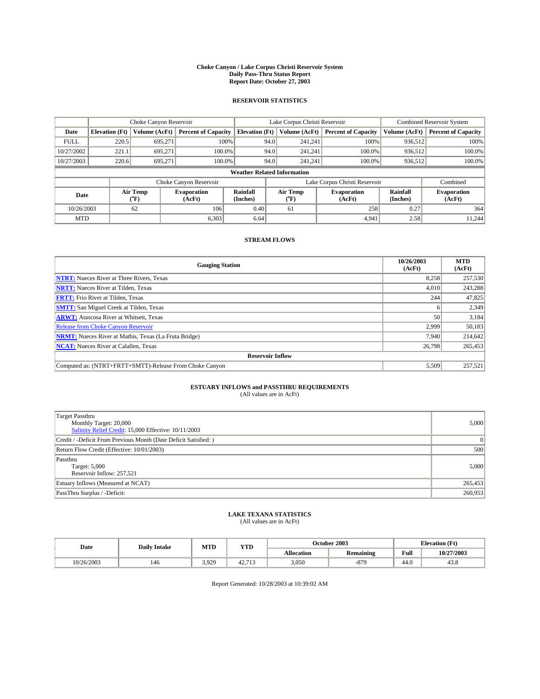#### **Choke Canyon / Lake Corpus Christi Reservoir System Daily Pass-Thru Status Report Report Date: October 27, 2003**

### **RESERVOIR STATISTICS**

|             | Choke Canyon Reservoir             |                  | Lake Corpus Christi Reservoir |                             |      |                  | <b>Combined Reservoir System</b> |                             |                              |  |
|-------------|------------------------------------|------------------|-------------------------------|-----------------------------|------|------------------|----------------------------------|-----------------------------|------------------------------|--|
| Date        | <b>Elevation</b> (Ft)              | Volume (AcFt)    | <b>Percent of Capacity</b>    | <b>Elevation</b> (Ft)       |      | Volume (AcFt)    | <b>Percent of Capacity</b>       | Volume (AcFt)               | <b>Percent of Capacity</b>   |  |
| <b>FULL</b> | 220.5                              | 695,271          |                               | 100%                        | 94.0 | 241,241          | 100%                             | 936.512                     | 100%                         |  |
| 10/27/2002  | 221.1                              | 695.271          | $100.0\%$                     |                             | 94.0 | 241.241          | $100.0\%$                        | 936.512                     | 100.0%                       |  |
| 10/27/2003  | 220.6                              | 695.271          | 100.0%                        |                             | 94.0 | 241.241          | $100.0\%$                        | 936,512                     | 100.0%                       |  |
|             | <b>Weather Related Information</b> |                  |                               |                             |      |                  |                                  |                             |                              |  |
|             |                                    |                  | Choke Canyon Reservoir        |                             |      |                  | Lake Corpus Christi Reservoir    |                             | Combined                     |  |
| Date        |                                    | Air Temp<br>(°F) | <b>Evaporation</b><br>(AcFt)  | <b>Rainfall</b><br>(Inches) |      | Air Temp<br>("F) | <b>Evaporation</b><br>(AcFt)     | <b>Rainfall</b><br>(Inches) | <b>Evaporation</b><br>(AcFt) |  |
| 10/26/2003  |                                    | 62               | 106                           | 0.40                        |      | 61               | 258                              | 0.27                        | 364                          |  |
| <b>MTD</b>  |                                    |                  | 6,303                         | 6.64                        |      |                  | 4,941                            | 2.58                        | 11.244                       |  |

### **STREAM FLOWS**

| <b>Gauging Station</b>                                       | 10/26/2003<br>(AcFt) | <b>MTD</b><br>(AcFt) |
|--------------------------------------------------------------|----------------------|----------------------|
| <b>NTRT:</b> Nueces River at Three Rivers, Texas             | 8,258                | 257,530              |
| <b>NRTT:</b> Nueces River at Tilden, Texas                   | 4.010                | 243.288              |
| <b>FRTT:</b> Frio River at Tilden, Texas                     | 244                  | 47,825               |
| <b>SMTT:</b> San Miguel Creek at Tilden, Texas               | h                    | 2,349                |
| <b>ARWT:</b> Atascosa River at Whitsett, Texas               | 50                   | 3,184                |
| Release from Choke Canyon Reservoir                          | 2.999                | 50,183               |
| <b>NRMT:</b> Nueces River at Mathis, Texas (La Fruta Bridge) | 7.940                | 214,642              |
| <b>NCAT:</b> Nueces River at Calallen, Texas                 | 26,798               | 265,453              |
| <b>Reservoir Inflow</b>                                      |                      |                      |
| Computed as: (NTRT+FRTT+SMTT)-Release From Choke Canyon      | 5,509                | 257.521              |

# **ESTUARY INFLOWS and PASSTHRU REQUIREMENTS**<br>(All values are in AcFt)

| Target Passthru<br>Monthly Target: 20,000<br>Salinity Relief Credit: 15,000 Effective: 10/11/2003 | 5,000    |
|---------------------------------------------------------------------------------------------------|----------|
| Credit / -Deficit From Previous Month (Date Deficit Satisfied: )                                  | $\Omega$ |
| Return Flow Credit (Effective: 10/01/2003)                                                        | 500      |
| Passthru<br>Target: 5,000<br>Reservoir Inflow: 257,521                                            | 5,000    |
| Estuary Inflows (Measured at NCAT)                                                                | 265,453  |
| PassThru Surplus / -Deficit:                                                                      | 260,953  |

# **LAKE TEXANA STATISTICS** (All values are in AcFt)

| Date       | <b>Daily Intake</b> | MTD   | <b>YTD</b>      |                   | October 2003 | <b>Elevation</b> (Ft) |             |
|------------|---------------------|-------|-----------------|-------------------|--------------|-----------------------|-------------|
|            |                     |       |                 | <b>Allocation</b> | Remaining    | Full                  | 10/27/2003  |
| 10/26/2003 | 146                 | 3,929 | 12712<br>44.119 | 3,050             | $-879$       | 44.0                  | 000<br>45.8 |

Report Generated: 10/28/2003 at 10:39:02 AM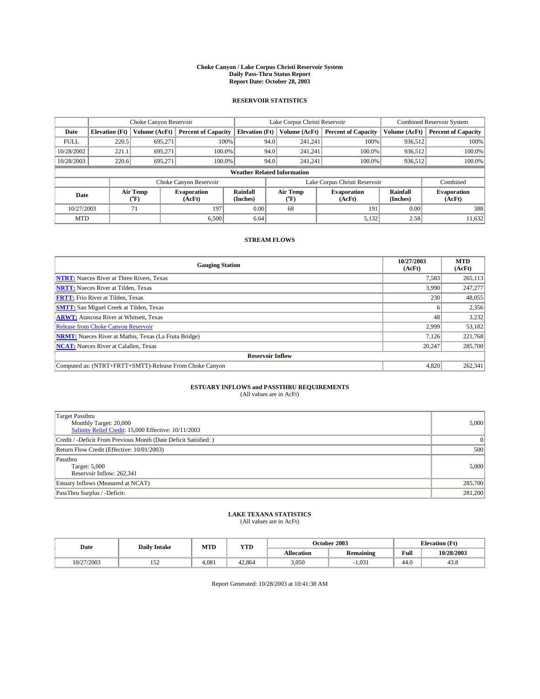#### **Choke Canyon / Lake Corpus Christi Reservoir System Daily Pass-Thru Status Report Report Date: October 28, 2003**

### **RESERVOIR STATISTICS**

|             | Choke Canyon Reservoir             |                  | Lake Corpus Christi Reservoir |                             |      |                  | <b>Combined Reservoir System</b> |                      |                              |  |
|-------------|------------------------------------|------------------|-------------------------------|-----------------------------|------|------------------|----------------------------------|----------------------|------------------------------|--|
| Date        | <b>Elevation</b> (Ft)              | Volume (AcFt)    | <b>Percent of Capacity</b>    | <b>Elevation (Ft)</b>       |      | Volume (AcFt)    | <b>Percent of Capacity</b>       | Volume (AcFt)        | <b>Percent of Capacity</b>   |  |
| <b>FULL</b> | 220.5                              | 695,271          |                               | 100%                        | 94.0 | 241,241          | 100%                             | 936.512              | 100%                         |  |
| 10/28/2002  | 221.1                              | 695.271          | $100.0\%$                     |                             | 94.0 | 241.241          | $100.0\%$                        | 936.512              | 100.0%                       |  |
| 10/28/2003  | 220.6                              | 695.271          | 100.0%                        |                             | 94.0 | 241,241          | $100.0\%$                        | 936,512              | 100.0%                       |  |
|             | <b>Weather Related Information</b> |                  |                               |                             |      |                  |                                  |                      |                              |  |
|             |                                    |                  | Choke Canyon Reservoir        |                             |      |                  | Lake Corpus Christi Reservoir    |                      | Combined                     |  |
| Date        |                                    | Air Temp<br>(°F) | <b>Evaporation</b><br>(AcFt)  | <b>Rainfall</b><br>(Inches) |      | Air Temp<br>("F) | <b>Evaporation</b><br>(AcFt)     | Rainfall<br>(Inches) | <b>Evaporation</b><br>(AcFt) |  |
| 10/27/2003  |                                    | 71               | 197                           | 0.00                        |      | 68               | 191                              | 0.00                 | 388                          |  |
| <b>MTD</b>  |                                    |                  | 6,500                         | 6.64                        |      |                  | 5,132                            | 2.58                 | 11,632                       |  |

### **STREAM FLOWS**

| <b>Gauging Station</b>                                       | 10/27/2003<br>(AcFt) | <b>MTD</b><br>(AcFt) |  |  |  |  |
|--------------------------------------------------------------|----------------------|----------------------|--|--|--|--|
| <b>NTRT:</b> Nueces River at Three Rivers, Texas             | 7,583                | 265,113              |  |  |  |  |
| <b>NRTT:</b> Nueces River at Tilden, Texas                   | 3.990                | 247,277              |  |  |  |  |
| <b>FRTT:</b> Frio River at Tilden, Texas                     | 230                  | 48,055               |  |  |  |  |
| <b>SMTT:</b> San Miguel Creek at Tilden, Texas               | h                    | 2,356                |  |  |  |  |
| <b>ARWT:</b> Atascosa River at Whitsett, Texas               | 48                   | 3,232                |  |  |  |  |
| Release from Choke Canyon Reservoir                          | 2,999                | 53,182               |  |  |  |  |
| <b>NRMT:</b> Nueces River at Mathis, Texas (La Fruta Bridge) | 7.126                | 221.768              |  |  |  |  |
| <b>NCAT:</b> Nueces River at Calallen, Texas                 | 20.247               | 285,700              |  |  |  |  |
| <b>Reservoir Inflow</b>                                      |                      |                      |  |  |  |  |
| Computed as: (NTRT+FRTT+SMTT)-Release From Choke Canyon      | 4.820                | 262,341              |  |  |  |  |

# **ESTUARY INFLOWS and PASSTHRU REQUIREMENTS**<br>(All values are in AcFt)

| Target Passthru<br>Monthly Target: 20,000<br>Salinity Relief Credit: 15,000 Effective: 10/11/2003 | 5,000    |
|---------------------------------------------------------------------------------------------------|----------|
| Credit / -Deficit From Previous Month (Date Deficit Satisfied: )                                  | $\Omega$ |
| Return Flow Credit (Effective: 10/01/2003)                                                        | 500      |
| Passthru<br>Target: 5,000<br>Reservoir Inflow: 262,341                                            | 5,000    |
| Estuary Inflows (Measured at NCAT)                                                                | 285,700  |
| PassThru Surplus / -Deficit:                                                                      | 281,200  |

# **LAKE TEXANA STATISTICS** (All values are in AcFt)

| Date       | <b>Daily Intake</b>  | MTD   | <b>YTD</b> |                   | October 2003     | <b>Elevation (Ft)</b>      |            |
|------------|----------------------|-------|------------|-------------------|------------------|----------------------------|------------|
|            |                      |       |            | <b>Allocation</b> | <b>Remaining</b> | Full                       | 10/28/2003 |
| 10/27/2003 | .<br>1J <sub>1</sub> | 4,081 | 42.864     | 3,050             | 1.031            | $\sim$<br>44. <sub>V</sub> | 45.8       |

Report Generated: 10/28/2003 at 10:41:38 AM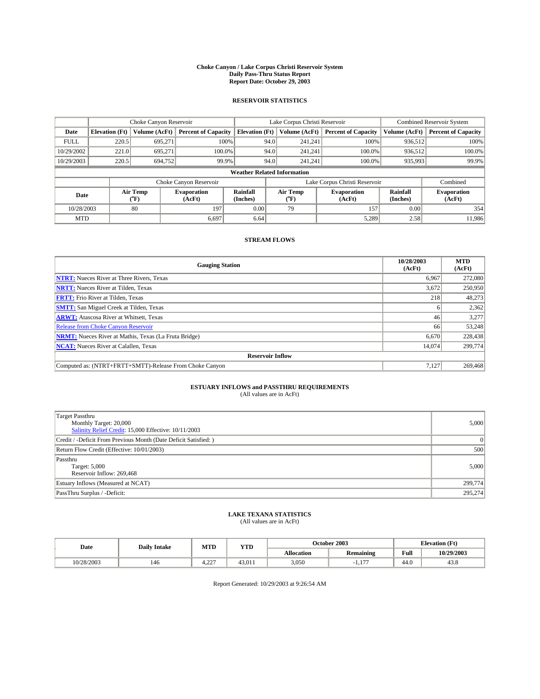#### **Choke Canyon / Lake Corpus Christi Reservoir System Daily Pass-Thru Status Report Report Date: October 29, 2003**

### **RESERVOIR STATISTICS**

|                                    | Choke Canyon Reservoir |                  | Lake Corpus Christi Reservoir |                             |      |                  | <b>Combined Reservoir System</b> |                      |                              |
|------------------------------------|------------------------|------------------|-------------------------------|-----------------------------|------|------------------|----------------------------------|----------------------|------------------------------|
| Date                               | <b>Elevation</b> (Ft)  | Volume (AcFt)    | <b>Percent of Capacity</b>    | <b>Elevation (Ft)</b>       |      | Volume (AcFt)    | <b>Percent of Capacity</b>       | Volume (AcFt)        | <b>Percent of Capacity</b>   |
| <b>FULL</b>                        | 220.5                  | 695,271          |                               | 100%                        | 94.0 | 241,241          | 100%                             | 936.512              | 100%                         |
| 10/29/2002                         | 221.0                  | 695.271          | $100.0\%$                     |                             | 94.0 | 241.241          | $100.0\%$                        | 936.512              | 100.0%                       |
| 10/29/2003                         | 220.5                  | 694.752          | 99.9%                         |                             | 94.0 | 241.241          | $100.0\%$                        | 935,993              | 99.9%                        |
| <b>Weather Related Information</b> |                        |                  |                               |                             |      |                  |                                  |                      |                              |
|                                    |                        |                  | Choke Canyon Reservoir        |                             |      |                  | Lake Corpus Christi Reservoir    |                      | Combined                     |
| Date                               |                        | Air Temp<br>(°F) | <b>Evaporation</b><br>(AcFt)  | <b>Rainfall</b><br>(Inches) |      | Air Temp<br>("F) | <b>Evaporation</b><br>(AcFt)     | Rainfall<br>(Inches) | <b>Evaporation</b><br>(AcFt) |
| 10/28/2003                         |                        | 80               | 197                           | 0.00                        |      | 79               | 157                              | 0.00                 | 354                          |
| <b>MTD</b>                         |                        |                  | 6,697                         | 6.64                        |      |                  | 5,289                            | 2.58                 | 11,986                       |

### **STREAM FLOWS**

| <b>Gauging Station</b>                                       | 10/28/2003<br>(AcFt) | <b>MTD</b><br>(AcFt) |  |  |  |  |
|--------------------------------------------------------------|----------------------|----------------------|--|--|--|--|
| <b>NTRT:</b> Nueces River at Three Rivers, Texas             | 6.967                | 272,080              |  |  |  |  |
| <b>NRTT:</b> Nueces River at Tilden, Texas                   | 3,672                | 250,950              |  |  |  |  |
| <b>FRTT:</b> Frio River at Tilden, Texas                     | 218                  | 48,273               |  |  |  |  |
| <b>SMTT:</b> San Miguel Creek at Tilden, Texas               | h                    | 2,362                |  |  |  |  |
| <b>ARWT:</b> Atascosa River at Whitsett, Texas               | 46                   | 3,277                |  |  |  |  |
| Release from Choke Canyon Reservoir                          | 66                   | 53,248               |  |  |  |  |
| <b>NRMT:</b> Nueces River at Mathis, Texas (La Fruta Bridge) | 6.670                | 228,438              |  |  |  |  |
| <b>NCAT:</b> Nueces River at Calallen, Texas                 | 14,074               | 299,774              |  |  |  |  |
| <b>Reservoir Inflow</b>                                      |                      |                      |  |  |  |  |
| Computed as: (NTRT+FRTT+SMTT)-Release From Choke Canyon      | 7.127                | 269,468              |  |  |  |  |

# **ESTUARY INFLOWS and PASSTHRU REQUIREMENTS**<br>(All values are in AcFt)

| Target Passthru<br>Monthly Target: 20,000<br>Salinity Relief Credit: 15,000 Effective: 10/11/2003 | 5,000   |
|---------------------------------------------------------------------------------------------------|---------|
| Credit / -Deficit From Previous Month (Date Deficit Satisfied: )                                  | 0       |
| Return Flow Credit (Effective: 10/01/2003)                                                        | 500     |
| Passthru<br>Target: 5,000<br>Reservoir Inflow: 269,468                                            | 5,000   |
| Estuary Inflows (Measured at NCAT)                                                                | 299,774 |
| PassThru Surplus / -Deficit:                                                                      | 295,274 |

# **LAKE TEXANA STATISTICS** (All values are in AcFt)

| Date       | <b>Daily Intake</b> | MTD               | <b>YTD</b>         |                   | October 2003 | <b>Elevation</b> (Ft) |                |
|------------|---------------------|-------------------|--------------------|-------------------|--------------|-----------------------|----------------|
|            |                     |                   |                    | <b>Allocation</b> | Remaining    | Full                  | 10/29/2003     |
| 10/28/2003 | 146                 | $\sim$<br><i></i> | 43.01 <sub>1</sub> | 3,050             | $\sim$<br>.  | 44.0                  | $\sim$<br>45.8 |

Report Generated: 10/29/2003 at 9:26:54 AM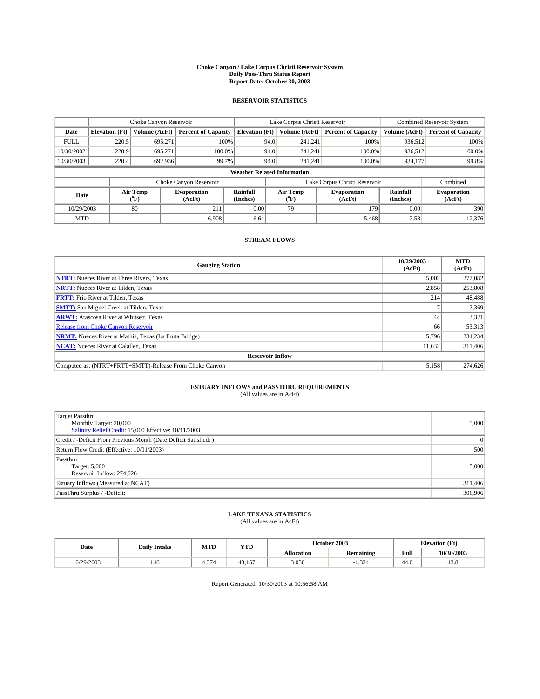#### **Choke Canyon / Lake Corpus Christi Reservoir System Daily Pass-Thru Status Report Report Date: October 30, 2003**

### **RESERVOIR STATISTICS**

|             | Choke Canyon Reservoir             |                             |                              | Lake Corpus Christi Reservoir | <b>Combined Reservoir System</b> |                  |                               |                      |                              |  |
|-------------|------------------------------------|-----------------------------|------------------------------|-------------------------------|----------------------------------|------------------|-------------------------------|----------------------|------------------------------|--|
| Date        | <b>Elevation</b> (Ft)              | Volume (AcFt)               | <b>Percent of Capacity</b>   | <b>Elevation</b> (Ft)         |                                  | Volume (AcFt)    | <b>Percent of Capacity</b>    | Volume (AcFt)        | <b>Percent of Capacity</b>   |  |
| <b>FULL</b> | 220.5                              | 695,271                     |                              | 100%                          | 94.0                             | 241,241          | 100%                          | 936.512              | 100%                         |  |
| 10/30/2002  | 220.9                              | 695.271                     | $100.0\%$                    |                               | 94.0                             | 241.241          | $100.0\%$                     | 936.512              | 100.0%                       |  |
| 10/30/2003  | 220.4                              | 692,936                     | 99.7%                        |                               | 94.0                             | 241.241          | $100.0\%$                     | 934,177              | 99.8%                        |  |
|             | <b>Weather Related Information</b> |                             |                              |                               |                                  |                  |                               |                      |                              |  |
|             |                                    |                             | Choke Canyon Reservoir       |                               |                                  |                  | Lake Corpus Christi Reservoir |                      | Combined                     |  |
| Date        |                                    | Air Temp<br>${}^{\circ}$ F) | <b>Evaporation</b><br>(AcFt) | <b>Rainfall</b><br>(Inches)   |                                  | Air Temp<br>("F) | <b>Evaporation</b><br>(AcFt)  | Rainfall<br>(Inches) | <b>Evaporation</b><br>(AcFt) |  |
| 10/29/2003  |                                    | 80                          | 211                          | 0.00                          |                                  | 79               | 179                           | 0.00                 | 390                          |  |
| <b>MTD</b>  |                                    |                             | 6.908                        | 6.64                          |                                  |                  | 5,468                         | 2.58                 | 12,376                       |  |

### **STREAM FLOWS**

| <b>Gauging Station</b>                                       | 10/29/2003<br>(AcFt) | <b>MTD</b><br>(AcFt) |  |  |  |  |
|--------------------------------------------------------------|----------------------|----------------------|--|--|--|--|
| <b>NTRT:</b> Nueces River at Three Rivers, Texas             | 5,002                | 277,082              |  |  |  |  |
| <b>NRTT:</b> Nueces River at Tilden, Texas                   | 2,858                | 253,808              |  |  |  |  |
| <b>FRTT:</b> Frio River at Tilden, Texas                     | 214                  | 48,488               |  |  |  |  |
| <b>SMTT:</b> San Miguel Creek at Tilden, Texas               |                      | 2,369                |  |  |  |  |
| <b>ARWT:</b> Atascosa River at Whitsett, Texas               | 44                   | 3,321                |  |  |  |  |
| <b>Release from Choke Canyon Reservoir</b>                   | 66                   | 53,313               |  |  |  |  |
| <b>NRMT:</b> Nueces River at Mathis, Texas (La Fruta Bridge) | 5.796                | 234,234              |  |  |  |  |
| <b>NCAT:</b> Nueces River at Calallen, Texas                 | 11,632               | 311,406              |  |  |  |  |
| <b>Reservoir Inflow</b>                                      |                      |                      |  |  |  |  |
| Computed as: (NTRT+FRTT+SMTT)-Release From Choke Canyon      | 5,158                | 274,626              |  |  |  |  |

# **ESTUARY INFLOWS and PASSTHRU REQUIREMENTS**<br>(All values are in AcFt)

| Target Passthru<br>Monthly Target: 20,000<br>Salinity Relief Credit: 15,000 Effective: 10/11/2003 | 5,000   |
|---------------------------------------------------------------------------------------------------|---------|
| Credit / -Deficit From Previous Month (Date Deficit Satisfied: )                                  | 0       |
| Return Flow Credit (Effective: 10/01/2003)                                                        | 500     |
| Passthru<br>Target: 5,000<br>Reservoir Inflow: 274,626                                            | 5,000   |
| Estuary Inflows (Measured at NCAT)                                                                | 311,406 |
| PassThru Surplus / -Deficit:                                                                      | 306,906 |

# **LAKE TEXANA STATISTICS** (All values are in AcFt)

| Date       | <b>Daily Intake</b> | MTD                        | <b>YTD</b>                    |                   | October 2003     | <b>Elevation</b> (Ft) |            |
|------------|---------------------|----------------------------|-------------------------------|-------------------|------------------|-----------------------|------------|
|            |                     |                            |                               | <b>Allocation</b> | <b>Remaining</b> | Full                  | 10/30/2003 |
| 10/29/2003 | 146                 | $\sim$<br>$\sim$ 14<br>T.J | 12<br>1 <sub>7</sub><br>TJ.IJ | 3,050             | $\sim$<br>1,324  | $\sim$<br>44.U        | 45.8       |

Report Generated: 10/30/2003 at 10:56:58 AM